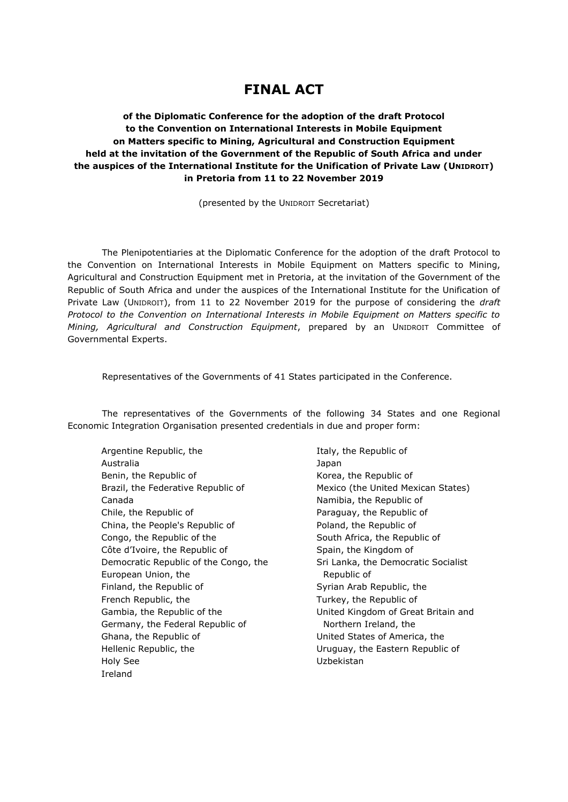# **FINAL ACT**

# **of the Diplomatic Conference for the adoption of the draft Protocol to the Convention on International Interests in Mobile Equipment on Matters specific to Mining, Agricultural and Construction Equipment held at the invitation of the Government of the Republic of South Africa and under the auspices of the International Institute for the Unification of Private Law (UNIDROIT) in Pretoria from 11 to 22 November 2019**

(presented by the UNIDROIT Secretariat)

The Plenipotentiaries at the Diplomatic Conference for the adoption of the draft Protocol to the Convention on International Interests in Mobile Equipment on Matters specific to Mining, Agricultural and Construction Equipment met in Pretoria, at the invitation of the Government of the Republic of South Africa and under the auspices of the International Institute for the Unification of Private Law (UNIDROIT), from 11 to 22 November 2019 for the purpose of considering the *draft Protocol to the Convention on International Interests in Mobile Equipment on Matters specific to Mining, Agricultural and Construction Equipment*, prepared by an UNIDROIT Committee of Governmental Experts.

Representatives of the Governments of 41 States participated in the Conference.

The representatives of the Governments of the following 34 States and one Regional Economic Integration Organisation presented credentials in due and proper form:

Argentine Republic, the Australia Benin, the Republic of Brazil, the Federative Republic of Canada Chile, the Republic of China, the People's Republic of Congo, the Republic of the Côte d'Ivoire, the Republic of Democratic Republic of the Congo, the European Union, the Finland, the Republic of French Republic, the Gambia, the Republic of the Germany, the Federal Republic of Ghana, the Republic of Hellenic Republic, the Holy See Ireland

Italy, the Republic of Japan Korea, the Republic of Mexico (the United Mexican States) Namibia, the Republic of Paraguay, the Republic of Poland, the Republic of South Africa, the Republic of Spain, the Kingdom of Sri Lanka, the Democratic Socialist Republic of Syrian Arab Republic, the Turkey, the Republic of United Kingdom of Great Britain and Northern Ireland, the United States of America, the Uruguay, the Eastern Republic of Uzbekistan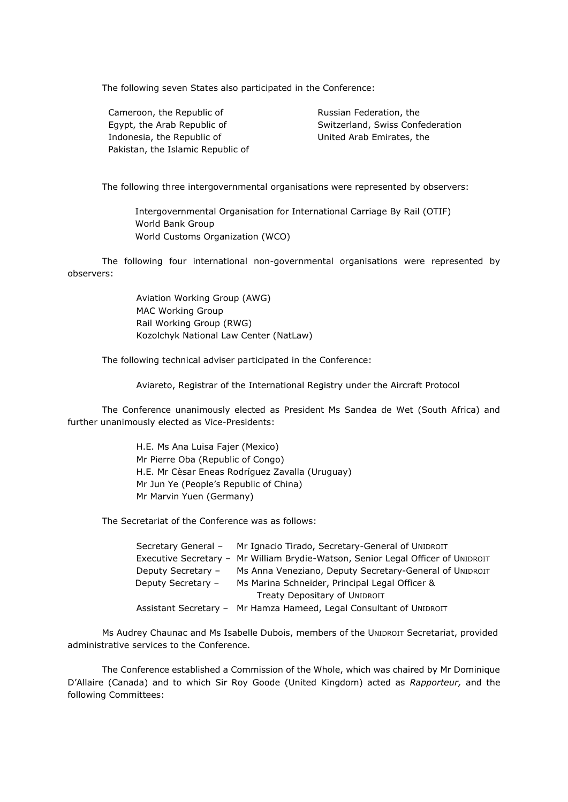The following seven States also participated in the Conference:

Cameroon, the Republic of Egypt, the Arab Republic of Indonesia, the Republic of Pakistan, the Islamic Republic of Russian Federation, the Switzerland, Swiss Confederation United Arab Emirates, the

The following three intergovernmental organisations were represented by observers:

Intergovernmental Organisation for International Carriage By Rail (OTIF) World Bank Group World Customs Organization (WCO)

The following four international non-governmental organisations were represented by observers:

> Aviation Working Group (AWG) MAC Working Group Rail Working Group (RWG) Kozolchyk National Law Center (NatLaw)

The following technical adviser participated in the Conference:

Aviareto, Registrar of the International Registry under the Aircraft Protocol

The Conference unanimously elected as President Ms Sandea de Wet (South Africa) and further unanimously elected as Vice-Presidents:

> H.E. Ms Ana Luisa Fajer (Mexico) Mr Pierre Oba (Republic of Congo) H.E. Mr Cèsar Eneas Rodríguez Zavalla (Uruguay) Mr Jun Ye (People's Republic of China) Mr Marvin Yuen (Germany)

The Secretariat of the Conference was as follows:

|                    | Secretary General - Mr Ignacio Tirado, Secretary-General of UNIDROIT             |
|--------------------|----------------------------------------------------------------------------------|
|                    | Executive Secretary - Mr William Brydie-Watson, Senior Legal Officer of UNIDROIT |
| Deputy Secretary - | Ms Anna Veneziano, Deputy Secretary-General of UNIDROIT                          |
| Deputy Secretary - | Ms Marina Schneider, Principal Legal Officer &                                   |
|                    | <b>Treaty Depositary of UNIDROIT</b>                                             |
|                    | Assistant Secretary - Mr Hamza Hameed, Legal Consultant of UNIDROIT              |

Ms Audrey Chaunac and Ms Isabelle Dubois, members of the UNIDROIT Secretariat, provided administrative services to the Conference.

The Conference established a Commission of the Whole, which was chaired by Mr Dominique D'Allaire (Canada) and to which Sir Roy Goode (United Kingdom) acted as *Rapporteur,* and the following Committees: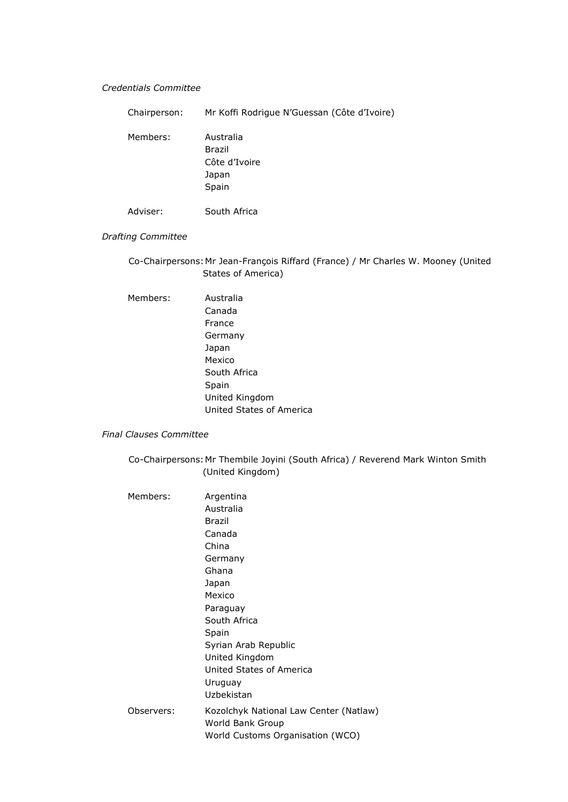### *Credentials Committee*

| Chairperson: | Mr Koffi Rodrigue N'Guessan (Côte d'Ivoire)            |
|--------------|--------------------------------------------------------|
| Members:     | Australia<br>Brazil<br>Côte d'Ivoire<br>Japan<br>Spain |
| Adviser:     | South Africa                                           |

### *Drafting Committee*

Co-Chairpersons:Mr Jean-François Riffard (France) / Mr Charles W. Mooney (United States of America)

Members: Australia Canada France Germany Japan Mexico South Africa Spain United Kingdom United States of America

# *Final Clauses Committee*

Co-Chairpersons:Mr Thembile Joyini (South Africa) / Reverend Mark Winton Smith (United Kingdom)

| Members:   | Argentina                                                  |
|------------|------------------------------------------------------------|
|            | Australia                                                  |
|            | Brazil                                                     |
|            | Canada                                                     |
|            | China                                                      |
|            | Germany                                                    |
|            | Ghana                                                      |
|            | Japan                                                      |
|            | Mexico                                                     |
|            | Paraguay                                                   |
|            | South Africa                                               |
|            | Spain                                                      |
|            | Syrian Arab Republic                                       |
|            | United Kingdom                                             |
|            | <b>United States of America</b>                            |
|            | Uruguay                                                    |
|            | Uzbekistan                                                 |
| Observers: | Kozolchyk National Law Center (Natlaw)<br>World Bank Group |
|            | World Customs Organisation (WCO)                           |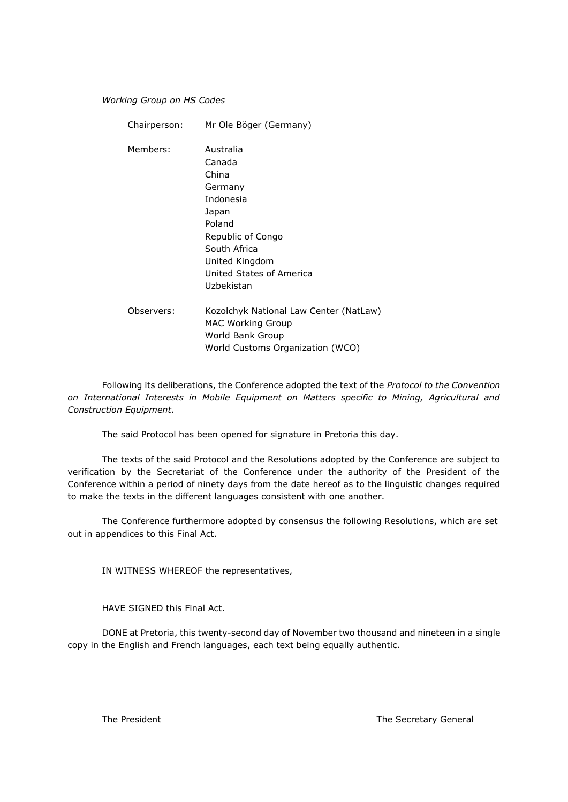#### *Working Group on HS Codes*

| Chairperson: | Mr Ole Böger (Germany)                 |
|--------------|----------------------------------------|
| Members:     | Australia                              |
|              | Canada                                 |
|              | China                                  |
|              | Germany                                |
|              | Indonesia                              |
|              | Japan                                  |
|              | Poland                                 |
|              | Republic of Congo                      |
|              | South Africa                           |
|              | United Kingdom                         |
|              | United States of America               |
|              | Uzbekistan                             |
| Observers:   | Kozolchyk National Law Center (NatLaw) |
|              | <b>MAC Working Group</b>               |
|              | World Bank Group                       |
|              | World Customs Organization (WCO)       |

Following its deliberations, the Conference adopted the text of the *Protocol to the Convention on International Interests in Mobile Equipment on Matters specific to Mining, Agricultural and Construction Equipment.*

The said Protocol has been opened for signature in Pretoria this day.

The texts of the said Protocol and the Resolutions adopted by the Conference are subject to verification by the Secretariat of the Conference under the authority of the President of the Conference within a period of ninety days from the date hereof as to the linguistic changes required to make the texts in the different languages consistent with one another.

The Conference furthermore adopted by consensus the following Resolutions, which are set out in appendices to this Final Act.

IN WITNESS WHEREOF the representatives,

HAVE SIGNED this Final Act.

DONE at Pretoria, this twenty-second day of November two thousand and nineteen in a single copy in the English and French languages, each text being equally authentic.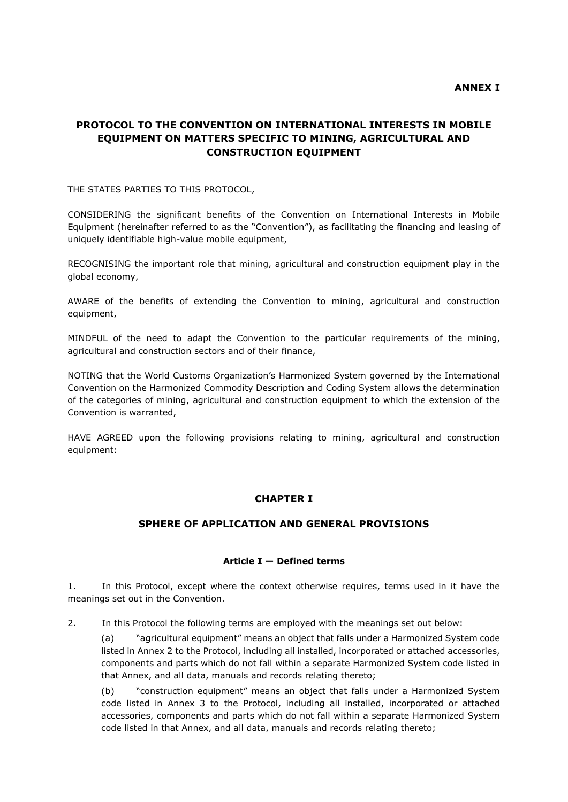# **PROTOCOL TO THE CONVENTION ON INTERNATIONAL INTERESTS IN MOBILE EQUIPMENT ON MATTERS SPECIFIC TO MINING, AGRICULTURAL AND CONSTRUCTION EQUIPMENT**

THE STATES PARTIES TO THIS PROTOCOL,

CONSIDERING the significant benefits of the Convention on International Interests in Mobile Equipment (hereinafter referred to as the "Convention"), as facilitating the financing and leasing of uniquely identifiable high-value mobile equipment,

RECOGNISING the important role that mining, agricultural and construction equipment play in the global economy,

AWARE of the benefits of extending the Convention to mining, agricultural and construction equipment,

MINDFUL of the need to adapt the Convention to the particular requirements of the mining, agricultural and construction sectors and of their finance,

NOTING that the World Customs Organization's Harmonized System governed by the International Convention on the Harmonized Commodity Description and Coding System allows the determination of the categories of mining, agricultural and construction equipment to which the extension of the Convention is warranted,

HAVE AGREED upon the following provisions relating to mining, agricultural and construction equipment:

# **CHAPTER I**

# **SPHERE OF APPLICATION AND GENERAL PROVISIONS**

#### **Article I — Defined terms**

1. In this Protocol, except where the context otherwise requires, terms used in it have the meanings set out in the Convention.

2. In this Protocol the following terms are employed with the meanings set out below:

(a) "agricultural equipment" means an object that falls under a Harmonized System code listed in Annex 2 to the Protocol, including all installed, incorporated or attached accessories, components and parts which do not fall within a separate Harmonized System code listed in that Annex, and all data, manuals and records relating thereto;

(b) "construction equipment" means an object that falls under a Harmonized System code listed in Annex 3 to the Protocol, including all installed, incorporated or attached accessories, components and parts which do not fall within a separate Harmonized System code listed in that Annex, and all data, manuals and records relating thereto;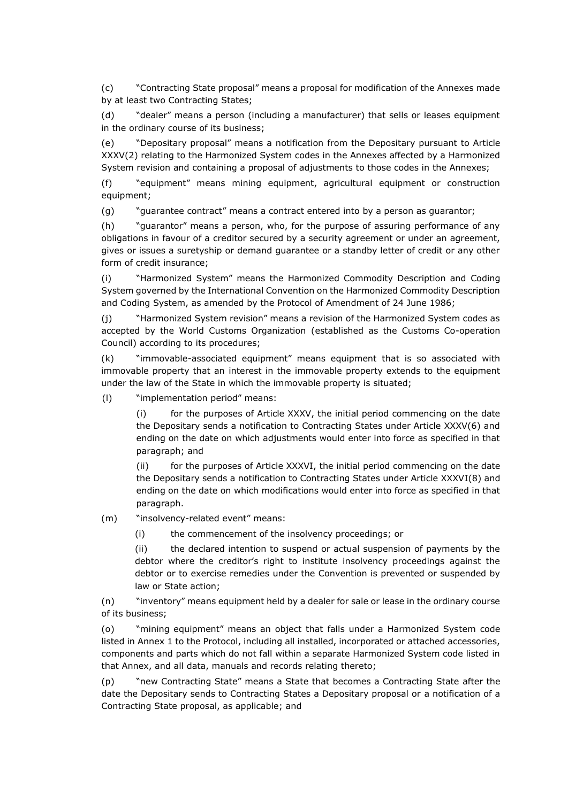(c) "Contracting State proposal" means a proposal for modification of the Annexes made by at least two Contracting States;

(d) "dealer" means a person (including a manufacturer) that sells or leases equipment in the ordinary course of its business;

(e) "Depositary proposal" means a notification from the Depositary pursuant to Article XXXV(2) relating to the Harmonized System codes in the Annexes affected by a Harmonized System revision and containing a proposal of adjustments to those codes in the Annexes;

(f) "equipment" means mining equipment, agricultural equipment or construction equipment;

(g) "guarantee contract" means a contract entered into by a person as guarantor;

(h) "guarantor" means a person, who, for the purpose of assuring performance of any obligations in favour of a creditor secured by a security agreement or under an agreement, gives or issues a suretyship or demand guarantee or a standby letter of credit or any other form of credit insurance;

(i) "Harmonized System" means the Harmonized Commodity Description and Coding System governed by the International Convention on the Harmonized Commodity Description and Coding System, as amended by the Protocol of Amendment of 24 June 1986;

(j) "Harmonized System revision" means a revision of the Harmonized System codes as accepted by the World Customs Organization (established as the Customs Co-operation Council) according to its procedures;

(k) "immovable-associated equipment" means equipment that is so associated with immovable property that an interest in the immovable property extends to the equipment under the law of the State in which the immovable property is situated;

(l) "implementation period" means:

(i) for the purposes of Article XXXV, the initial period commencing on the date the Depositary sends a notification to Contracting States under Article XXXV(6) and ending on the date on which adjustments would enter into force as specified in that paragraph; and

(ii) for the purposes of Article XXXVI, the initial period commencing on the date the Depositary sends a notification to Contracting States under Article XXXVI(8) and ending on the date on which modifications would enter into force as specified in that paragraph.

(m) "insolvency-related event" means:

(i) the commencement of the insolvency proceedings; or

(ii) the declared intention to suspend or actual suspension of payments by the debtor where the creditor's right to institute insolvency proceedings against the debtor or to exercise remedies under the Convention is prevented or suspended by law or State action;

(n) "inventory" means equipment held by a dealer for sale or lease in the ordinary course of its business;

(o) "mining equipment" means an object that falls under a Harmonized System code listed in Annex 1 to the Protocol, including all installed, incorporated or attached accessories, components and parts which do not fall within a separate Harmonized System code listed in that Annex, and all data, manuals and records relating thereto;

(p) "new Contracting State" means a State that becomes a Contracting State after the date the Depositary sends to Contracting States a Depositary proposal or a notification of a Contracting State proposal, as applicable; and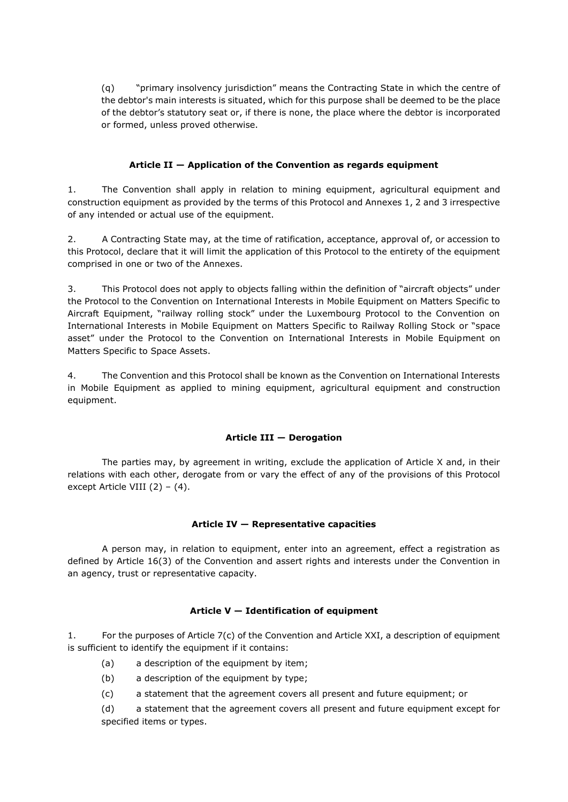(q) "primary insolvency jurisdiction" means the Contracting State in which the centre of the debtor's main interests is situated, which for this purpose shall be deemed to be the place of the debtor's statutory seat or, if there is none, the place where the debtor is incorporated or formed, unless proved otherwise.

# **Article II — Application of the Convention as regards equipment**

1. The Convention shall apply in relation to mining equipment, agricultural equipment and construction equipment as provided by the terms of this Protocol and Annexes 1, 2 and 3 irrespective of any intended or actual use of the equipment.

2. A Contracting State may, at the time of ratification, acceptance, approval of, or accession to this Protocol, declare that it will limit the application of this Protocol to the entirety of the equipment comprised in one or two of the Annexes.

3. This Protocol does not apply to objects falling within the definition of "aircraft objects" under the Protocol to the Convention on International Interests in Mobile Equipment on Matters Specific to Aircraft Equipment, "railway rolling stock" under the Luxembourg Protocol to the Convention on International Interests in Mobile Equipment on Matters Specific to Railway Rolling Stock or "space asset" under the Protocol to the Convention on International Interests in Mobile Equipment on Matters Specific to Space Assets.

4. The Convention and this Protocol shall be known as the Convention on International Interests in Mobile Equipment as applied to mining equipment, agricultural equipment and construction equipment.

# **Article III — Derogation**

The parties may, by agreement in writing, exclude the application of Article X and, in their relations with each other, derogate from or vary the effect of any of the provisions of this Protocol except Article VIII (2) – (4).

# **Article IV — Representative capacities**

A person may, in relation to equipment, enter into an agreement, effect a registration as defined by Article 16(3) of the Convention and assert rights and interests under the Convention in an agency, trust or representative capacity.

# **Article V — Identification of equipment**

1. For the purposes of Article 7(c) of the Convention and Article XXI, a description of equipment is sufficient to identify the equipment if it contains:

- (a) a description of the equipment by item;
- (b) a description of the equipment by type;
- (c) a statement that the agreement covers all present and future equipment; or

(d) a statement that the agreement covers all present and future equipment except for specified items or types.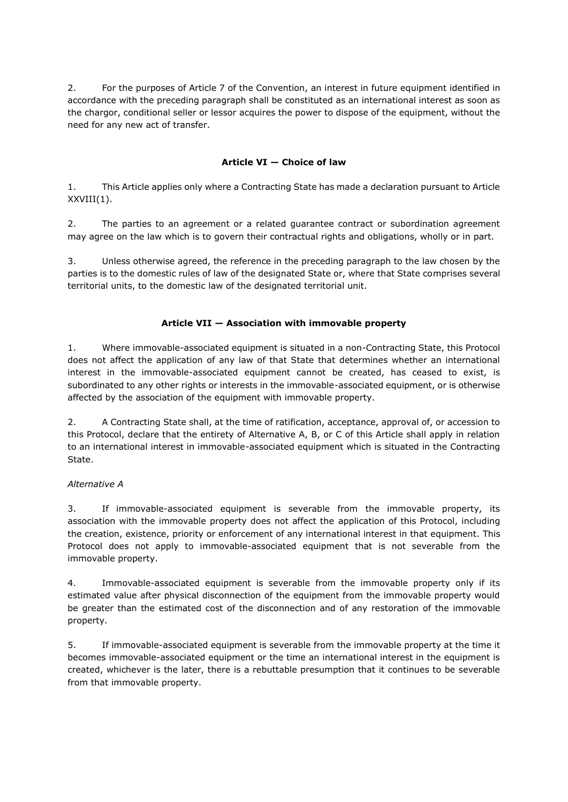2. For the purposes of Article 7 of the Convention, an interest in future equipment identified in accordance with the preceding paragraph shall be constituted as an international interest as soon as the chargor, conditional seller or lessor acquires the power to dispose of the equipment, without the need for any new act of transfer.

# **Article VI — Choice of law**

1. This Article applies only where a Contracting State has made a declaration pursuant to Article XXVIII(1).

2. The parties to an agreement or a related guarantee contract or subordination agreement may agree on the law which is to govern their contractual rights and obligations, wholly or in part.

3. Unless otherwise agreed, the reference in the preceding paragraph to the law chosen by the parties is to the domestic rules of law of the designated State or, where that State comprises several territorial units, to the domestic law of the designated territorial unit.

# **Article VII — Association with immovable property**

1. Where immovable-associated equipment is situated in a non-Contracting State, this Protocol does not affect the application of any law of that State that determines whether an international interest in the immovable-associated equipment cannot be created, has ceased to exist, is subordinated to any other rights or interests in the immovable-associated equipment, or is otherwise affected by the association of the equipment with immovable property.

2. A Contracting State shall, at the time of ratification, acceptance, approval of, or accession to this Protocol, declare that the entirety of Alternative A, B, or C of this Article shall apply in relation to an international interest in immovable-associated equipment which is situated in the Contracting State.

# *Alternative A*

3. If immovable-associated equipment is severable from the immovable property, its association with the immovable property does not affect the application of this Protocol, including the creation, existence, priority or enforcement of any international interest in that equipment. This Protocol does not apply to immovable-associated equipment that is not severable from the immovable property.

4. Immovable-associated equipment is severable from the immovable property only if its estimated value after physical disconnection of the equipment from the immovable property would be greater than the estimated cost of the disconnection and of any restoration of the immovable property.

5. If immovable-associated equipment is severable from the immovable property at the time it becomes immovable-associated equipment or the time an international interest in the equipment is created, whichever is the later, there is a rebuttable presumption that it continues to be severable from that immovable property.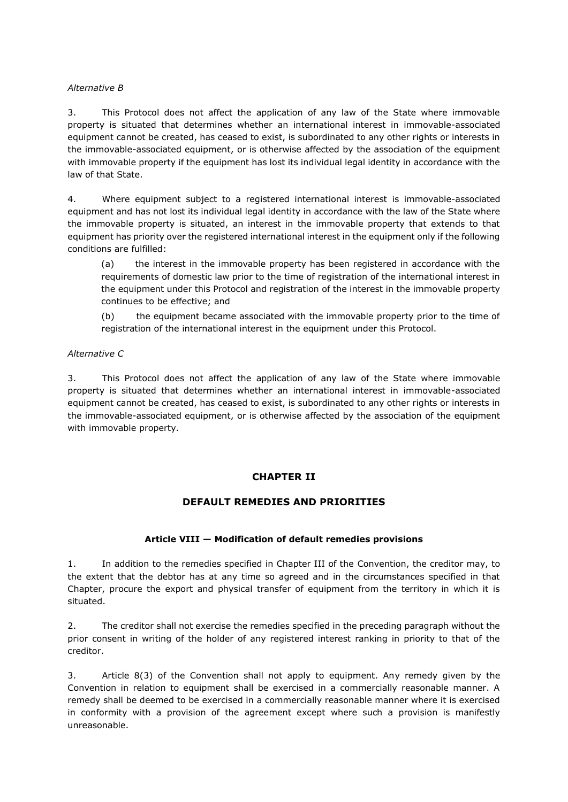### *Alternative B*

3. This Protocol does not affect the application of any law of the State where immovable property is situated that determines whether an international interest in immovable-associated equipment cannot be created, has ceased to exist, is subordinated to any other rights or interests in the immovable-associated equipment, or is otherwise affected by the association of the equipment with immovable property if the equipment has lost its individual legal identity in accordance with the law of that State.

4. Where equipment subject to a registered international interest is immovable-associated equipment and has not lost its individual legal identity in accordance with the law of the State where the immovable property is situated, an interest in the immovable property that extends to that equipment has priority over the registered international interest in the equipment only if the following conditions are fulfilled:

(a) the interest in the immovable property has been registered in accordance with the requirements of domestic law prior to the time of registration of the international interest in the equipment under this Protocol and registration of the interest in the immovable property continues to be effective; and

(b) the equipment became associated with the immovable property prior to the time of registration of the international interest in the equipment under this Protocol.

### *Alternative C*

3. This Protocol does not affect the application of any law of the State where immovable property is situated that determines whether an international interest in immovable-associated equipment cannot be created, has ceased to exist, is subordinated to any other rights or interests in the immovable-associated equipment, or is otherwise affected by the association of the equipment with immovable property.

# **CHAPTER II**

# **DEFAULT REMEDIES AND PRIORITIES**

# **Article VIII — Modification of default remedies provisions**

1. In addition to the remedies specified in Chapter III of the Convention, the creditor may, to the extent that the debtor has at any time so agreed and in the circumstances specified in that Chapter, procure the export and physical transfer of equipment from the territory in which it is situated.

2. The creditor shall not exercise the remedies specified in the preceding paragraph without the prior consent in writing of the holder of any registered interest ranking in priority to that of the creditor.

3. Article 8(3) of the Convention shall not apply to equipment. Any remedy given by the Convention in relation to equipment shall be exercised in a commercially reasonable manner. A remedy shall be deemed to be exercised in a commercially reasonable manner where it is exercised in conformity with a provision of the agreement except where such a provision is manifestly unreasonable.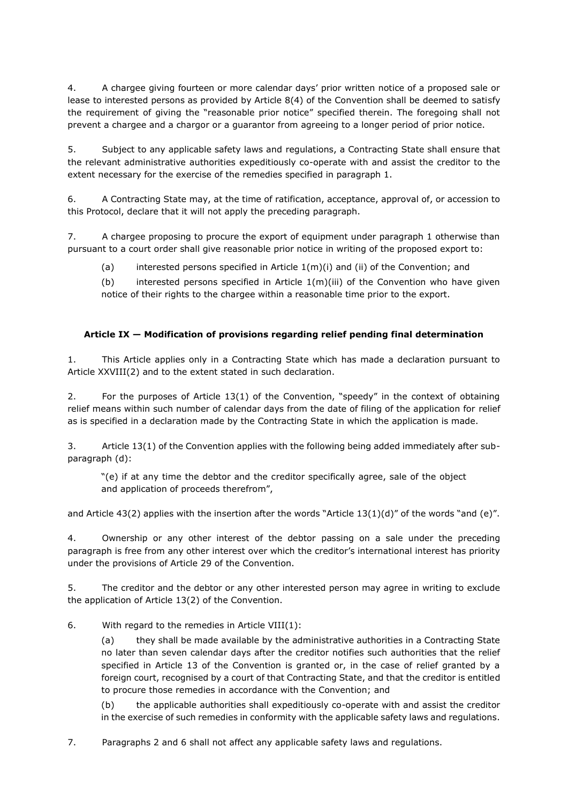4. A chargee giving fourteen or more calendar days' prior written notice of a proposed sale or lease to interested persons as provided by Article 8(4) of the Convention shall be deemed to satisfy the requirement of giving the "reasonable prior notice" specified therein. The foregoing shall not prevent a chargee and a chargor or a guarantor from agreeing to a longer period of prior notice.

5. Subject to any applicable safety laws and regulations, a Contracting State shall ensure that the relevant administrative authorities expeditiously co-operate with and assist the creditor to the extent necessary for the exercise of the remedies specified in paragraph 1.

6. A Contracting State may, at the time of ratification, acceptance, approval of, or accession to this Protocol, declare that it will not apply the preceding paragraph.

7. A chargee proposing to procure the export of equipment under paragraph 1 otherwise than pursuant to a court order shall give reasonable prior notice in writing of the proposed export to:

(a) interested persons specified in Article  $1(m)(i)$  and (ii) of the Convention; and

(b) interested persons specified in Article 1(m)(iii) of the Convention who have given notice of their rights to the chargee within a reasonable time prior to the export.

# **Article IX — Modification of provisions regarding relief pending final determination**

1. This Article applies only in a Contracting State which has made a declaration pursuant to Article XXVIII(2) and to the extent stated in such declaration.

2. For the purposes of Article 13(1) of the Convention, "speedy" in the context of obtaining relief means within such number of calendar days from the date of filing of the application for relief as is specified in a declaration made by the Contracting State in which the application is made.

3. Article 13(1) of the Convention applies with the following being added immediately after subparagraph (d):

"(e) if at any time the debtor and the creditor specifically agree, sale of the object and application of proceeds therefrom",

and Article 43(2) applies with the insertion after the words "Article 13(1)(d)" of the words "and (e)".

4. Ownership or any other interest of the debtor passing on a sale under the preceding paragraph is free from any other interest over which the creditor's international interest has priority under the provisions of Article 29 of the Convention.

5. The creditor and the debtor or any other interested person may agree in writing to exclude the application of Article 13(2) of the Convention.

6. With regard to the remedies in Article VIII(1):

(a) they shall be made available by the administrative authorities in a Contracting State no later than seven calendar days after the creditor notifies such authorities that the relief specified in Article 13 of the Convention is granted or, in the case of relief granted by a foreign court, recognised by a court of that Contracting State, and that the creditor is entitled to procure those remedies in accordance with the Convention; and

(b) the applicable authorities shall expeditiously co-operate with and assist the creditor in the exercise of such remedies in conformity with the applicable safety laws and regulations.

7. Paragraphs 2 and 6 shall not affect any applicable safety laws and regulations.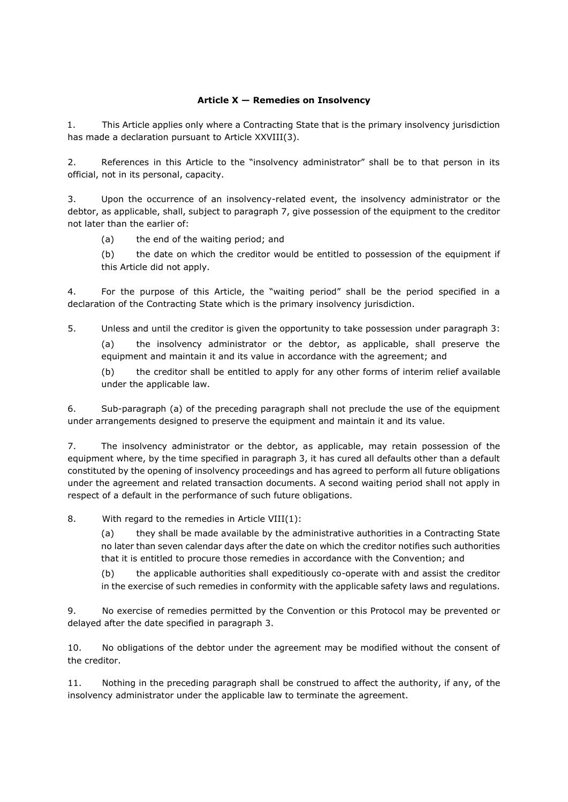# **Article X — Remedies on Insolvency**

1. This Article applies only where a Contracting State that is the primary insolvency jurisdiction has made a declaration pursuant to Article XXVIII(3).

2. References in this Article to the "insolvency administrator" shall be to that person in its official, not in its personal, capacity.

3. Upon the occurrence of an insolvency-related event, the insolvency administrator or the debtor, as applicable, shall, subject to paragraph 7, give possession of the equipment to the creditor not later than the earlier of:

(a) the end of the waiting period; and

(b) the date on which the creditor would be entitled to possession of the equipment if this Article did not apply.

4. For the purpose of this Article, the "waiting period" shall be the period specified in a declaration of the Contracting State which is the primary insolvency jurisdiction.

5. Unless and until the creditor is given the opportunity to take possession under paragraph 3: (a) the insolvency administrator or the debtor, as applicable, shall preserve the equipment and maintain it and its value in accordance with the agreement; and

(b) the creditor shall be entitled to apply for any other forms of interim relief available under the applicable law.

6. Sub-paragraph (a) of the preceding paragraph shall not preclude the use of the equipment under arrangements designed to preserve the equipment and maintain it and its value.

7. The insolvency administrator or the debtor, as applicable, may retain possession of the equipment where, by the time specified in paragraph 3, it has cured all defaults other than a default constituted by the opening of insolvency proceedings and has agreed to perform all future obligations under the agreement and related transaction documents. A second waiting period shall not apply in respect of a default in the performance of such future obligations.

8. With regard to the remedies in Article VIII(1):

(a) they shall be made available by the administrative authorities in a Contracting State no later than seven calendar days after the date on which the creditor notifies such authorities that it is entitled to procure those remedies in accordance with the Convention; and

(b) the applicable authorities shall expeditiously co-operate with and assist the creditor in the exercise of such remedies in conformity with the applicable safety laws and regulations.

9. No exercise of remedies permitted by the Convention or this Protocol may be prevented or delayed after the date specified in paragraph 3.

10. No obligations of the debtor under the agreement may be modified without the consent of the creditor.

11. Nothing in the preceding paragraph shall be construed to affect the authority, if any, of the insolvency administrator under the applicable law to terminate the agreement.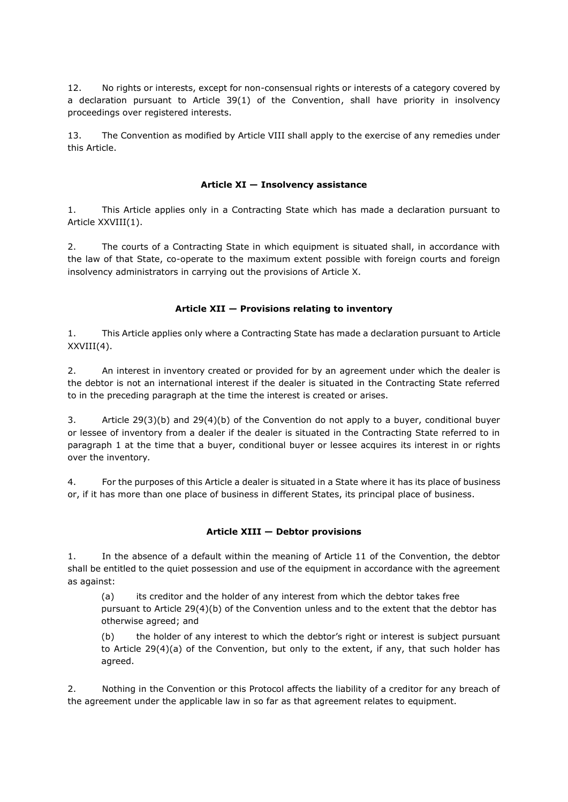12. No rights or interests, except for non-consensual rights or interests of a category covered by a declaration pursuant to Article 39(1) of the Convention, shall have priority in insolvency proceedings over registered interests.

13. The Convention as modified by Article VIII shall apply to the exercise of any remedies under this Article.

### **Article XI — Insolvency assistance**

1. This Article applies only in a Contracting State which has made a declaration pursuant to Article XXVIII(1).

2. The courts of a Contracting State in which equipment is situated shall, in accordance with the law of that State, co-operate to the maximum extent possible with foreign courts and foreign insolvency administrators in carrying out the provisions of Article X.

# **Article XII — Provisions relating to inventory**

1. This Article applies only where a Contracting State has made a declaration pursuant to Article XXVIII(4).

2. An interest in inventory created or provided for by an agreement under which the dealer is the debtor is not an international interest if the dealer is situated in the Contracting State referred to in the preceding paragraph at the time the interest is created or arises.

3. Article 29(3)(b) and 29(4)(b) of the Convention do not apply to a buyer, conditional buyer or lessee of inventory from a dealer if the dealer is situated in the Contracting State referred to in paragraph 1 at the time that a buyer, conditional buyer or lessee acquires its interest in or rights over the inventory*.* 

4. For the purposes of this Article a dealer is situated in a State where it has its place of business or, if it has more than one place of business in different States, its principal place of business.

# **Article XIII — Debtor provisions**

1. In the absence of a default within the meaning of Article 11 of the Convention, the debtor shall be entitled to the quiet possession and use of the equipment in accordance with the agreement as against:

(a) its creditor and the holder of any interest from which the debtor takes free pursuant to Article 29(4)(b) of the Convention unless and to the extent that the debtor has otherwise agreed; and

(b) the holder of any interest to which the debtor's right or interest is subject pursuant to Article 29(4)(a) of the Convention, but only to the extent, if any, that such holder has agreed.

2. Nothing in the Convention or this Protocol affects the liability of a creditor for any breach of the agreement under the applicable law in so far as that agreement relates to equipment.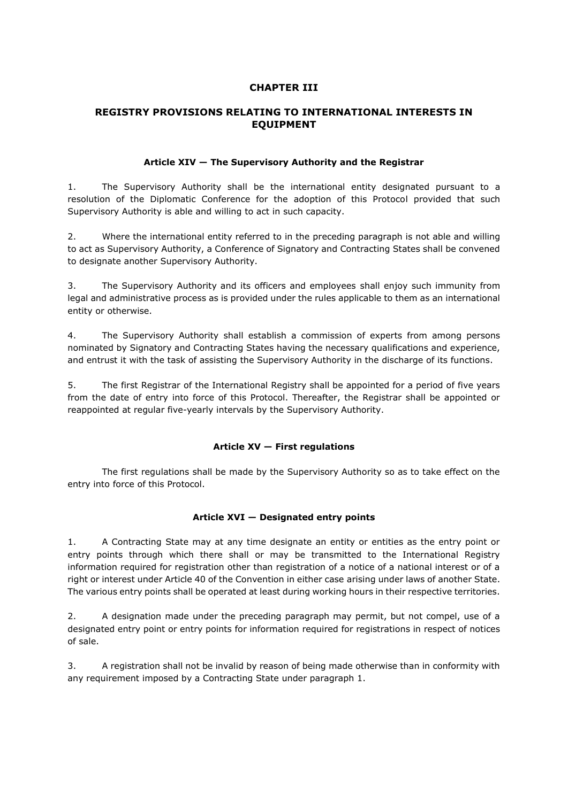# **CHAPTER III**

# **REGISTRY PROVISIONS RELATING TO INTERNATIONAL INTERESTS IN EQUIPMENT**

# **Article XIV — The Supervisory Authority and the Registrar**

1. The Supervisory Authority shall be the international entity designated pursuant to a resolution of the Diplomatic Conference for the adoption of this Protocol provided that such Supervisory Authority is able and willing to act in such capacity.

2. Where the international entity referred to in the preceding paragraph is not able and willing to act as Supervisory Authority, a Conference of Signatory and Contracting States shall be convened to designate another Supervisory Authority.

3. The Supervisory Authority and its officers and employees shall enjoy such immunity from legal and administrative process as is provided under the rules applicable to them as an international entity or otherwise.

4. The Supervisory Authority shall establish a commission of experts from among persons nominated by Signatory and Contracting States having the necessary qualifications and experience, and entrust it with the task of assisting the Supervisory Authority in the discharge of its functions.

5. The first Registrar of the International Registry shall be appointed for a period of five years from the date of entry into force of this Protocol. Thereafter, the Registrar shall be appointed or reappointed at regular five-yearly intervals by the Supervisory Authority.

# **Article XV — First regulations**

The first regulations shall be made by the Supervisory Authority so as to take effect on the entry into force of this Protocol.

# **Article XVI — Designated entry points**

1. A Contracting State may at any time designate an entity or entities as the entry point or entry points through which there shall or may be transmitted to the International Registry information required for registration other than registration of a notice of a national interest or of a right or interest under Article 40 of the Convention in either case arising under laws of another State. The various entry points shall be operated at least during working hours in their respective territories.

2. A designation made under the preceding paragraph may permit, but not compel, use of a designated entry point or entry points for information required for registrations in respect of notices of sale.

3. A registration shall not be invalid by reason of being made otherwise than in conformity with any requirement imposed by a Contracting State under paragraph 1.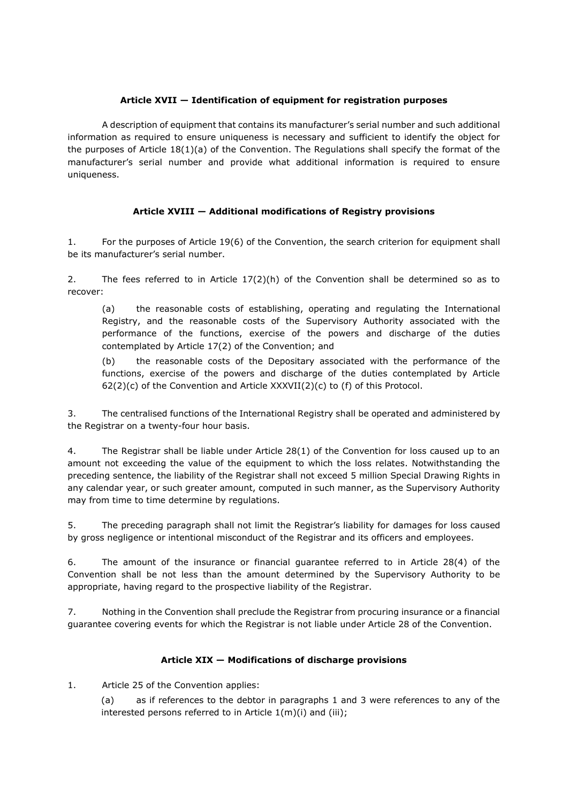# **Article XVII — Identification of equipment for registration purposes**

A description of equipment that contains its manufacturer's serial number and such additional information as required to ensure uniqueness is necessary and sufficient to identify the object for the purposes of Article 18(1)(a) of the Convention. The Regulations shall specify the format of the manufacturer's serial number and provide what additional information is required to ensure uniqueness.

# **Article XVIII — Additional modifications of Registry provisions**

1. For the purposes of Article 19(6) of the Convention, the search criterion for equipment shall be its manufacturer's serial number.

2. The fees referred to in Article  $17(2)(h)$  of the Convention shall be determined so as to recover:

(a) the reasonable costs of establishing, operating and regulating the International Registry, and the reasonable costs of the Supervisory Authority associated with the performance of the functions, exercise of the powers and discharge of the duties contemplated by Article 17(2) of the Convention; and

(b) the reasonable costs of the Depositary associated with the performance of the functions, exercise of the powers and discharge of the duties contemplated by Article  $62(2)(c)$  of the Convention and Article XXXVII(2)(c) to (f) of this Protocol.

3. The centralised functions of the International Registry shall be operated and administered by the Registrar on a twenty-four hour basis.

4. The Registrar shall be liable under Article 28(1) of the Convention for loss caused up to an amount not exceeding the value of the equipment to which the loss relates. Notwithstanding the preceding sentence, the liability of the Registrar shall not exceed 5 million Special Drawing Rights in any calendar year, or such greater amount, computed in such manner, as the Supervisory Authority may from time to time determine by regulations.

5. The preceding paragraph shall not limit the Registrar's liability for damages for loss caused by gross negligence or intentional misconduct of the Registrar and its officers and employees.

6. The amount of the insurance or financial guarantee referred to in Article 28(4) of the Convention shall be not less than the amount determined by the Supervisory Authority to be appropriate, having regard to the prospective liability of the Registrar.

7. Nothing in the Convention shall preclude the Registrar from procuring insurance or a financial guarantee covering events for which the Registrar is not liable under Article 28 of the Convention.

# **Article XIX — Modifications of discharge provisions**

1. Article 25 of the Convention applies:

(a) as if references to the debtor in paragraphs 1 and 3 were references to any of the interested persons referred to in Article 1(m)(i) and (iii);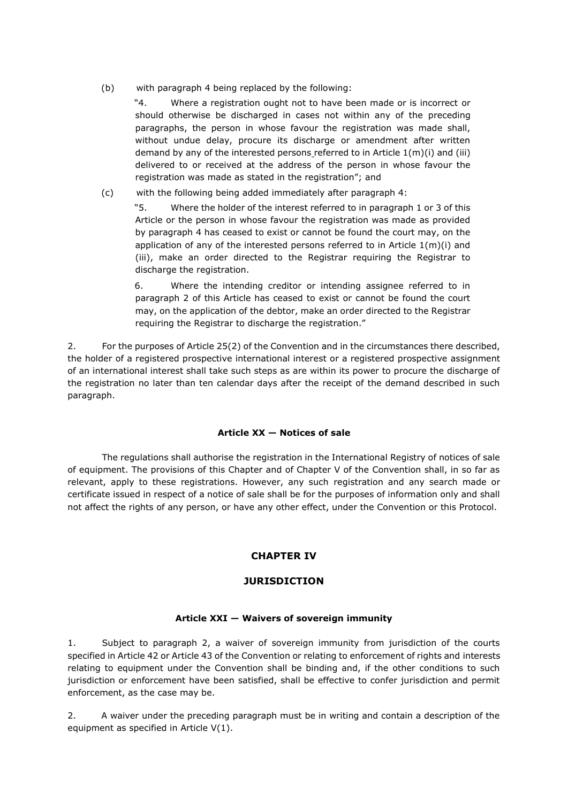(b) with paragraph 4 being replaced by the following:

"4. Where a registration ought not to have been made or is incorrect or should otherwise be discharged in cases not within any of the preceding paragraphs, the person in whose favour the registration was made shall, without undue delay, procure its discharge or amendment after written demand by any of the interested persons referred to in Article 1(m)(i) and (iii) delivered to or received at the address of the person in whose favour the registration was made as stated in the registration"; and

(c) with the following being added immediately after paragraph 4:

"5. Where the holder of the interest referred to in paragraph 1 or 3 of this Article or the person in whose favour the registration was made as provided by paragraph 4 has ceased to exist or cannot be found the court may, on the application of any of the interested persons referred to in Article 1(m)(i) and (iii), make an order directed to the Registrar requiring the Registrar to discharge the registration.

6. Where the intending creditor or intending assignee referred to in paragraph 2 of this Article has ceased to exist or cannot be found the court may, on the application of the debtor, make an order directed to the Registrar requiring the Registrar to discharge the registration."

2. For the purposes of Article 25(2) of the Convention and in the circumstances there described, the holder of a registered prospective international interest or a registered prospective assignment of an international interest shall take such steps as are within its power to procure the discharge of the registration no later than ten calendar days after the receipt of the demand described in such paragraph.

# **Article XX — Notices of sale**

The regulations shall authorise the registration in the International Registry of notices of sale of equipment. The provisions of this Chapter and of Chapter V of the Convention shall, in so far as relevant, apply to these registrations. However, any such registration and any search made or certificate issued in respect of a notice of sale shall be for the purposes of information only and shall not affect the rights of any person, or have any other effect, under the Convention or this Protocol.

# **CHAPTER IV**

# **JURISDICTION**

# **Article XXI — Waivers of sovereign immunity**

1. Subject to paragraph 2, a waiver of sovereign immunity from jurisdiction of the courts specified in Article 42 or Article 43 of the Convention or relating to enforcement of rights and interests relating to equipment under the Convention shall be binding and, if the other conditions to such jurisdiction or enforcement have been satisfied, shall be effective to confer jurisdiction and permit enforcement, as the case may be.

2. A waiver under the preceding paragraph must be in writing and contain a description of the equipment as specified in Article V(1).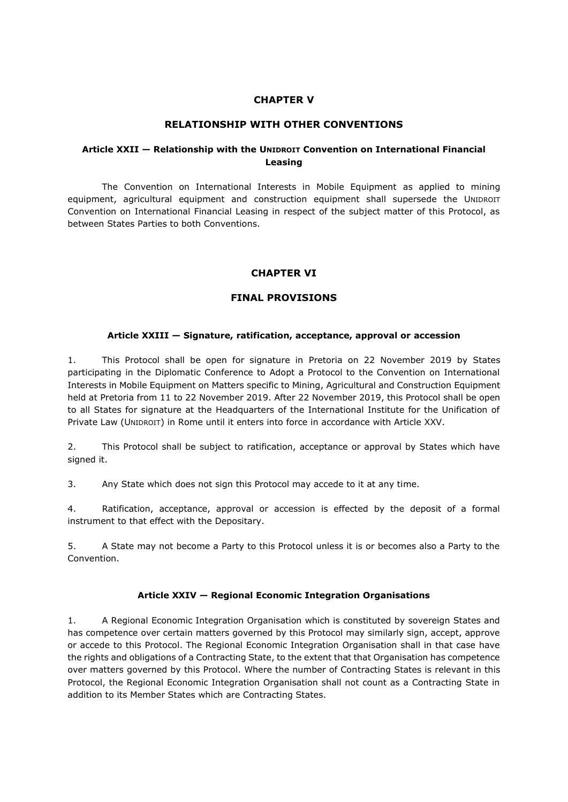### **CHAPTER V**

### **RELATIONSHIP WITH OTHER CONVENTIONS**

# **Article XXII — Relationship with the UNIDROIT Convention on International Financial Leasing**

The Convention on International Interests in Mobile Equipment as applied to mining equipment, agricultural equipment and construction equipment shall supersede the UNIDROIT Convention on International Financial Leasing in respect of the subject matter of this Protocol, as between States Parties to both Conventions.

# **CHAPTER VI**

# **FINAL PROVISIONS**

### **Article XXIII — Signature, ratification, acceptance, approval or accession**

1. This Protocol shall be open for signature in Pretoria on 22 November 2019 by States participating in the Diplomatic Conference to Adopt a Protocol to the Convention on International Interests in Mobile Equipment on Matters specific to Mining, Agricultural and Construction Equipment held at Pretoria from 11 to 22 November 2019. After 22 November 2019, this Protocol shall be open to all States for signature at the Headquarters of the International Institute for the Unification of Private Law (UNIDROIT) in Rome until it enters into force in accordance with Article XXV.

2. This Protocol shall be subject to ratification, acceptance or approval by States which have signed it.

3. Any State which does not sign this Protocol may accede to it at any time.

4. Ratification, acceptance, approval or accession is effected by the deposit of a formal instrument to that effect with the Depositary.

5. A State may not become a Party to this Protocol unless it is or becomes also a Party to the Convention.

#### **Article XXIV — Regional Economic Integration Organisations**

1. A Regional Economic Integration Organisation which is constituted by sovereign States and has competence over certain matters governed by this Protocol may similarly sign, accept, approve or accede to this Protocol. The Regional Economic Integration Organisation shall in that case have the rights and obligations of a Contracting State, to the extent that that Organisation has competence over matters governed by this Protocol. Where the number of Contracting States is relevant in this Protocol, the Regional Economic Integration Organisation shall not count as a Contracting State in addition to its Member States which are Contracting States.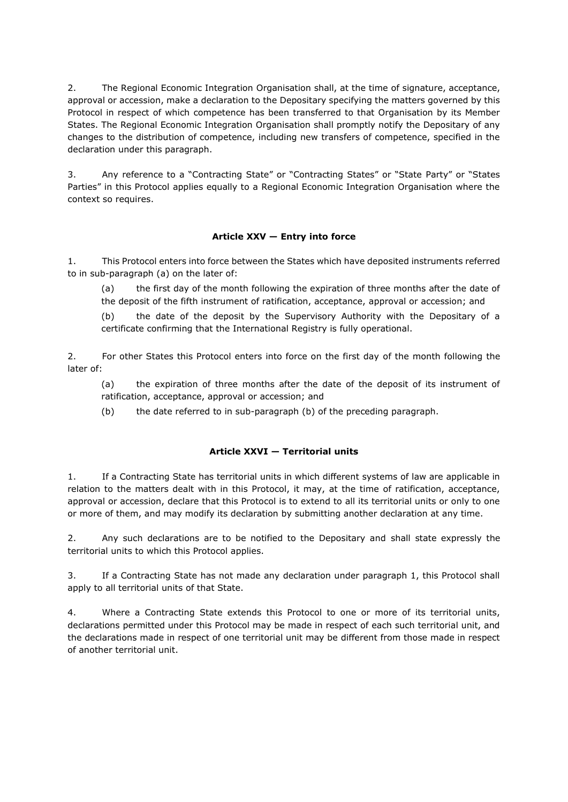2. The Regional Economic Integration Organisation shall, at the time of signature, acceptance, approval or accession, make a declaration to the Depositary specifying the matters governed by this Protocol in respect of which competence has been transferred to that Organisation by its Member States. The Regional Economic Integration Organisation shall promptly notify the Depositary of any changes to the distribution of competence, including new transfers of competence, specified in the declaration under this paragraph.

3. Any reference to a "Contracting State" or "Contracting States" or "State Party" or "States Parties" in this Protocol applies equally to a Regional Economic Integration Organisation where the context so requires.

# **Article XXV — Entry into force**

1. This Protocol enters into force between the States which have deposited instruments referred to in sub-paragraph (a) on the later of:

(a) the first day of the month following the expiration of three months after the date of the deposit of the fifth instrument of ratification, acceptance, approval or accession; and

(b) the date of the deposit by the Supervisory Authority with the Depositary of a certificate confirming that the International Registry is fully operational.

2. For other States this Protocol enters into force on the first day of the month following the later of:

(a) the expiration of three months after the date of the deposit of its instrument of ratification, acceptance, approval or accession; and

(b) the date referred to in sub-paragraph (b) of the preceding paragraph.

# **Article XXVI — Territorial units**

1. If a Contracting State has territorial units in which different systems of law are applicable in relation to the matters dealt with in this Protocol, it may, at the time of ratification, acceptance, approval or accession, declare that this Protocol is to extend to all its territorial units or only to one or more of them, and may modify its declaration by submitting another declaration at any time.

2. Any such declarations are to be notified to the Depositary and shall state expressly the territorial units to which this Protocol applies.

3. If a Contracting State has not made any declaration under paragraph 1, this Protocol shall apply to all territorial units of that State.

4. Where a Contracting State extends this Protocol to one or more of its territorial units, declarations permitted under this Protocol may be made in respect of each such territorial unit, and the declarations made in respect of one territorial unit may be different from those made in respect of another territorial unit.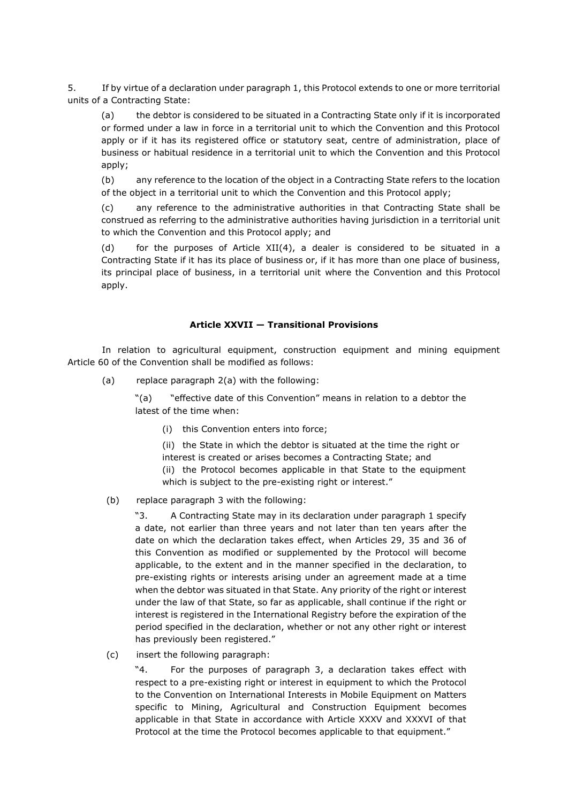5. If by virtue of a declaration under paragraph 1, this Protocol extends to one or more territorial units of a Contracting State:

(a) the debtor is considered to be situated in a Contracting State only if it is incorporated or formed under a law in force in a territorial unit to which the Convention and this Protocol apply or if it has its registered office or statutory seat, centre of administration, place of business or habitual residence in a territorial unit to which the Convention and this Protocol apply;

(b) any reference to the location of the object in a Contracting State refers to the location of the object in a territorial unit to which the Convention and this Protocol apply;

(c) any reference to the administrative authorities in that Contracting State shall be construed as referring to the administrative authorities having jurisdiction in a territorial unit to which the Convention and this Protocol apply; and

(d) for the purposes of Article XII(4), a dealer is considered to be situated in a Contracting State if it has its place of business or, if it has more than one place of business, its principal place of business, in a territorial unit where the Convention and this Protocol apply.

#### **Article XXVII — Transitional Provisions**

In relation to agricultural equipment, construction equipment and mining equipment Article 60 of the Convention shall be modified as follows:

(a) replace paragraph 2(a) with the following:

"(a) "effective date of this Convention" means in relation to a debtor the latest of the time when:

(i) this Convention enters into force;

(ii) the State in which the debtor is situated at the time the right or interest is created or arises becomes a Contracting State; and

(ii) the Protocol becomes applicable in that State to the equipment which is subject to the pre-existing right or interest."

- 
- (b) replace paragraph 3 with the following:

"3. A Contracting State may in its declaration under paragraph 1 specify a date, not earlier than three years and not later than ten years after the date on which the declaration takes effect, when Articles 29, 35 and 36 of this Convention as modified or supplemented by the Protocol will become applicable, to the extent and in the manner specified in the declaration, to pre-existing rights or interests arising under an agreement made at a time when the debtor was situated in that State. Any priority of the right or interest under the law of that State, so far as applicable, shall continue if the right or interest is registered in the International Registry before the expiration of the period specified in the declaration, whether or not any other right or interest has previously been registered."

(c) insert the following paragraph:

"4. For the purposes of paragraph 3, a declaration takes effect with respect to a pre-existing right or interest in equipment to which the Protocol to the Convention on International Interests in Mobile Equipment on Matters specific to Mining, Agricultural and Construction Equipment becomes applicable in that State in accordance with Article XXXV and XXXVI of that Protocol at the time the Protocol becomes applicable to that equipment."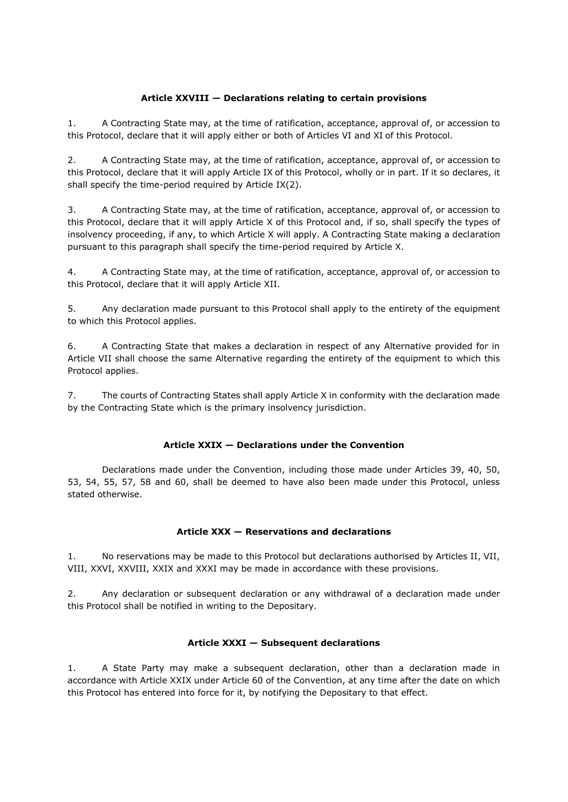# **Article XXVIII — Declarations relating to certain provisions**

1. A Contracting State may, at the time of ratification, acceptance, approval of, or accession to this Protocol, declare that it will apply either or both of Articles VI and XI of this Protocol.

2. A Contracting State may, at the time of ratification, acceptance, approval of, or accession to this Protocol, declare that it will apply Article IX of this Protocol, wholly or in part. If it so declares, it shall specify the time-period required by Article IX(2).

3. A Contracting State may, at the time of ratification, acceptance, approval of, or accession to this Protocol, declare that it will apply Article X of this Protocol and, if so, shall specify the types of insolvency proceeding, if any, to which Article X will apply. A Contracting State making a declaration pursuant to this paragraph shall specify the time-period required by Article X.

4. A Contracting State may, at the time of ratification, acceptance, approval of, or accession to this Protocol, declare that it will apply Article XII.

5. Any declaration made pursuant to this Protocol shall apply to the entirety of the equipment to which this Protocol applies.

6. A Contracting State that makes a declaration in respect of any Alternative provided for in Article VII shall choose the same Alternative regarding the entirety of the equipment to which this Protocol applies.

7. The courts of Contracting States shall apply Article X in conformity with the declaration made by the Contracting State which is the primary insolvency jurisdiction.

# **Article XXIX — Declarations under the Convention**

Declarations made under the Convention, including those made under Articles 39, 40, 50, 53, 54, 55, 57, 58 and 60, shall be deemed to have also been made under this Protocol, unless stated otherwise.

# **Article XXX — Reservations and declarations**

1. No reservations may be made to this Protocol but declarations authorised by Articles II, VII, VIII, XXVI, XXVIII, XXIX and XXXI may be made in accordance with these provisions.

2. Any declaration or subsequent declaration or any withdrawal of a declaration made under this Protocol shall be notified in writing to the Depositary.

# **Article XXXI — Subsequent declarations**

1. A State Party may make a subsequent declaration, other than a declaration made in accordance with Article XXIX under Article 60 of the Convention, at any time after the date on which this Protocol has entered into force for it, by notifying the Depositary to that effect.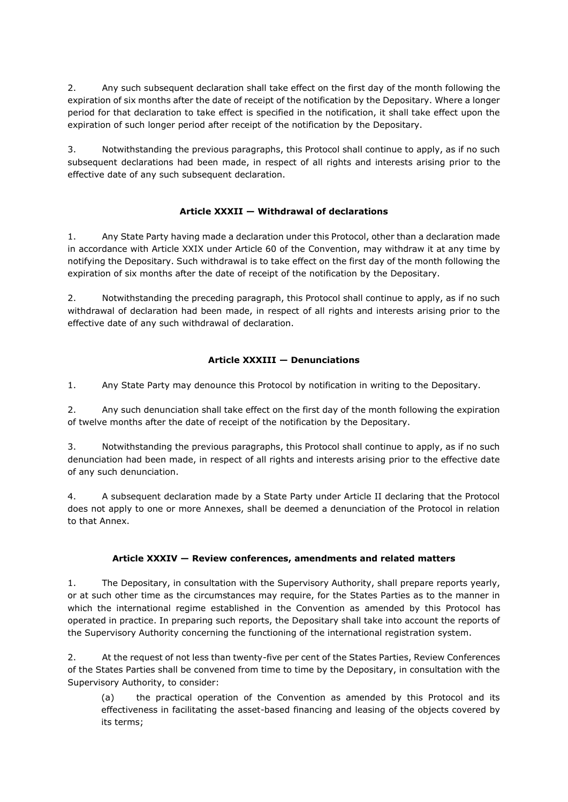2. Any such subsequent declaration shall take effect on the first day of the month following the expiration of six months after the date of receipt of the notification by the Depositary. Where a longer period for that declaration to take effect is specified in the notification, it shall take effect upon the expiration of such longer period after receipt of the notification by the Depositary.

3. Notwithstanding the previous paragraphs, this Protocol shall continue to apply, as if no such subsequent declarations had been made, in respect of all rights and interests arising prior to the effective date of any such subsequent declaration.

# **Article XXXII — Withdrawal of declarations**

1. Any State Party having made a declaration under this Protocol, other than a declaration made in accordance with Article XXIX under Article 60 of the Convention, may withdraw it at any time by notifying the Depositary. Such withdrawal is to take effect on the first day of the month following the expiration of six months after the date of receipt of the notification by the Depositary.

2. Notwithstanding the preceding paragraph, this Protocol shall continue to apply, as if no such withdrawal of declaration had been made, in respect of all rights and interests arising prior to the effective date of any such withdrawal of declaration.

# **Article XXXIII — Denunciations**

1. Any State Party may denounce this Protocol by notification in writing to the Depositary.

2. Any such denunciation shall take effect on the first day of the month following the expiration of twelve months after the date of receipt of the notification by the Depositary.

3. Notwithstanding the previous paragraphs, this Protocol shall continue to apply, as if no such denunciation had been made, in respect of all rights and interests arising prior to the effective date of any such denunciation.

4. A subsequent declaration made by a State Party under Article II declaring that the Protocol does not apply to one or more Annexes, shall be deemed a denunciation of the Protocol in relation to that Annex.

# **Article XXXIV — Review conferences, amendments and related matters**

1. The Depositary, in consultation with the Supervisory Authority, shall prepare reports yearly, or at such other time as the circumstances may require, for the States Parties as to the manner in which the international regime established in the Convention as amended by this Protocol has operated in practice. In preparing such reports, the Depositary shall take into account the reports of the Supervisory Authority concerning the functioning of the international registration system.

2. At the request of not less than twenty-five per cent of the States Parties, Review Conferences of the States Parties shall be convened from time to time by the Depositary, in consultation with the Supervisory Authority, to consider:

(a) the practical operation of the Convention as amended by this Protocol and its effectiveness in facilitating the asset-based financing and leasing of the objects covered by its terms;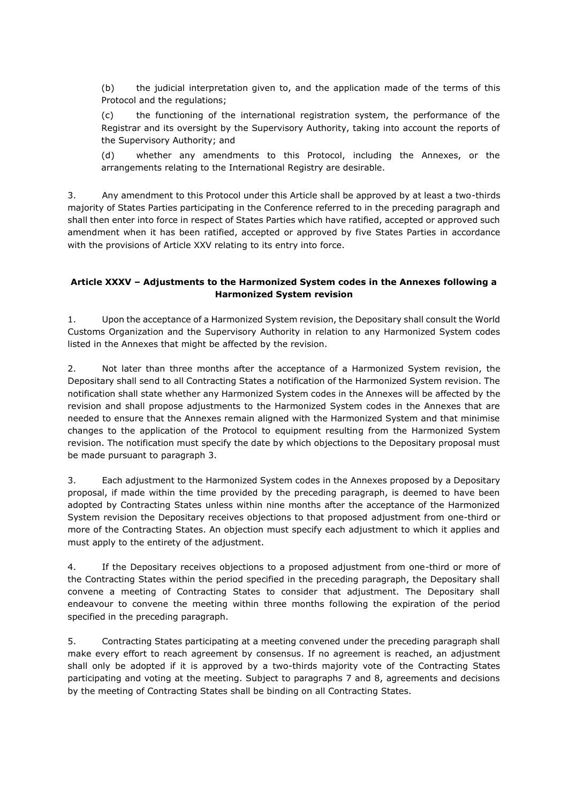(b) the judicial interpretation given to, and the application made of the terms of this Protocol and the regulations;

(c) the functioning of the international registration system, the performance of the Registrar and its oversight by the Supervisory Authority, taking into account the reports of the Supervisory Authority; and

(d) whether any amendments to this Protocol, including the Annexes, or the arrangements relating to the International Registry are desirable.

3. Any amendment to this Protocol under this Article shall be approved by at least a two-thirds majority of States Parties participating in the Conference referred to in the preceding paragraph and shall then enter into force in respect of States Parties which have ratified, accepted or approved such amendment when it has been ratified, accepted or approved by five States Parties in accordance with the provisions of Article XXV relating to its entry into force.

# **Article XXXV – Adjustments to the Harmonized System codes in the Annexes following a Harmonized System revision**

1. Upon the acceptance of a Harmonized System revision, the Depositary shall consult the World Customs Organization and the Supervisory Authority in relation to any Harmonized System codes listed in the Annexes that might be affected by the revision.

2. Not later than three months after the acceptance of a Harmonized System revision, the Depositary shall send to all Contracting States a notification of the Harmonized System revision. The notification shall state whether any Harmonized System codes in the Annexes will be affected by the revision and shall propose adjustments to the Harmonized System codes in the Annexes that are needed to ensure that the Annexes remain aligned with the Harmonized System and that minimise changes to the application of the Protocol to equipment resulting from the Harmonized System revision. The notification must specify the date by which objections to the Depositary proposal must be made pursuant to paragraph 3.

3. Each adjustment to the Harmonized System codes in the Annexes proposed by a Depositary proposal, if made within the time provided by the preceding paragraph, is deemed to have been adopted by Contracting States unless within nine months after the acceptance of the Harmonized System revision the Depositary receives objections to that proposed adjustment from one-third or more of the Contracting States. An objection must specify each adjustment to which it applies and must apply to the entirety of the adjustment.

4. If the Depositary receives objections to a proposed adjustment from one-third or more of the Contracting States within the period specified in the preceding paragraph, the Depositary shall convene a meeting of Contracting States to consider that adjustment. The Depositary shall endeavour to convene the meeting within three months following the expiration of the period specified in the preceding paragraph.

5. Contracting States participating at a meeting convened under the preceding paragraph shall make every effort to reach agreement by consensus. If no agreement is reached, an adjustment shall only be adopted if it is approved by a two-thirds majority vote of the Contracting States participating and voting at the meeting. Subject to paragraphs 7 and 8, agreements and decisions by the meeting of Contracting States shall be binding on all Contracting States.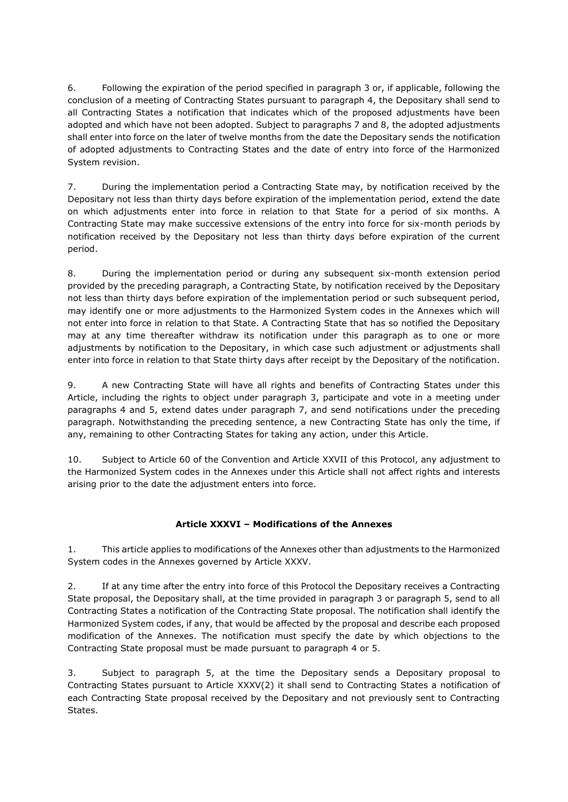6. Following the expiration of the period specified in paragraph 3 or, if applicable, following the conclusion of a meeting of Contracting States pursuant to paragraph 4, the Depositary shall send to all Contracting States a notification that indicates which of the proposed adjustments have been adopted and which have not been adopted. Subject to paragraphs 7 and 8, the adopted adjustments shall enter into force on the later of twelve months from the date the Depositary sends the notification of adopted adjustments to Contracting States and the date of entry into force of the Harmonized System revision.

7. During the implementation period a Contracting State may, by notification received by the Depositary not less than thirty days before expiration of the implementation period, extend the date on which adjustments enter into force in relation to that State for a period of six months. A Contracting State may make successive extensions of the entry into force for six-month periods by notification received by the Depositary not less than thirty days before expiration of the current period.

8. During the implementation period or during any subsequent six-month extension period provided by the preceding paragraph, a Contracting State, by notification received by the Depositary not less than thirty days before expiration of the implementation period or such subsequent period, may identify one or more adjustments to the Harmonized System codes in the Annexes which will not enter into force in relation to that State. A Contracting State that has so notified the Depositary may at any time thereafter withdraw its notification under this paragraph as to one or more adjustments by notification to the Depositary, in which case such adjustment or adjustments shall enter into force in relation to that State thirty days after receipt by the Depositary of the notification.

9. A new Contracting State will have all rights and benefits of Contracting States under this Article, including the rights to object under paragraph 3, participate and vote in a meeting under paragraphs 4 and 5, extend dates under paragraph 7, and send notifications under the preceding paragraph. Notwithstanding the preceding sentence, a new Contracting State has only the time, if any, remaining to other Contracting States for taking any action, under this Article.

10. Subject to Article 60 of the Convention and Article XXVII of this Protocol, any adjustment to the Harmonized System codes in the Annexes under this Article shall not affect rights and interests arising prior to the date the adjustment enters into force.

# **Article XXXVI – Modifications of the Annexes**

1. This article applies to modifications of the Annexes other than adjustments to the Harmonized System codes in the Annexes governed by Article XXXV.

2. If at any time after the entry into force of this Protocol the Depositary receives a Contracting State proposal, the Depositary shall, at the time provided in paragraph 3 or paragraph 5, send to all Contracting States a notification of the Contracting State proposal. The notification shall identify the Harmonized System codes, if any, that would be affected by the proposal and describe each proposed modification of the Annexes. The notification must specify the date by which objections to the Contracting State proposal must be made pursuant to paragraph 4 or 5.

3. Subject to paragraph 5, at the time the Depositary sends a Depositary proposal to Contracting States pursuant to Article XXXV(2) it shall send to Contracting States a notification of each Contracting State proposal received by the Depositary and not previously sent to Contracting States.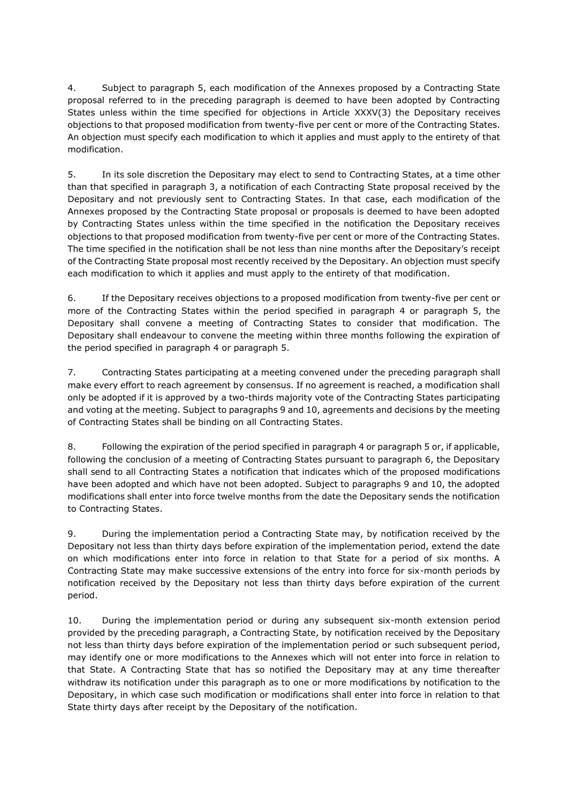4. Subject to paragraph 5, each modification of the Annexes proposed by a Contracting State proposal referred to in the preceding paragraph is deemed to have been adopted by Contracting States unless within the time specified for objections in Article XXXV(3) the Depositary receives objections to that proposed modification from twenty-five per cent or more of the Contracting States. An objection must specify each modification to which it applies and must apply to the entirety of that modification.

5. In its sole discretion the Depositary may elect to send to Contracting States, at a time other than that specified in paragraph 3, a notification of each Contracting State proposal received by the Depositary and not previously sent to Contracting States. In that case, each modification of the Annexes proposed by the Contracting State proposal or proposals is deemed to have been adopted by Contracting States unless within the time specified in the notification the Depositary receives objections to that proposed modification from twenty-five per cent or more of the Contracting States. The time specified in the notification shall be not less than nine months after the Depositary's receipt of the Contracting State proposal most recently received by the Depositary. An objection must specify each modification to which it applies and must apply to the entirety of that modification.

6. If the Depositary receives objections to a proposed modification from twenty-five per cent or more of the Contracting States within the period specified in paragraph 4 or paragraph 5, the Depositary shall convene a meeting of Contracting States to consider that modification. The Depositary shall endeavour to convene the meeting within three months following the expiration of the period specified in paragraph 4 or paragraph 5.

7. Contracting States participating at a meeting convened under the preceding paragraph shall make every effort to reach agreement by consensus. If no agreement is reached, a modification shall only be adopted if it is approved by a two-thirds majority vote of the Contracting States participating and voting at the meeting. Subject to paragraphs 9 and 10, agreements and decisions by the meeting of Contracting States shall be binding on all Contracting States.

8. Following the expiration of the period specified in paragraph 4 or paragraph 5 or, if applicable, following the conclusion of a meeting of Contracting States pursuant to paragraph 6, the Depositary shall send to all Contracting States a notification that indicates which of the proposed modifications have been adopted and which have not been adopted. Subject to paragraphs 9 and 10, the adopted modifications shall enter into force twelve months from the date the Depositary sends the notification to Contracting States.

9. During the implementation period a Contracting State may, by notification received by the Depositary not less than thirty days before expiration of the implementation period, extend the date on which modifications enter into force in relation to that State for a period of six months. A Contracting State may make successive extensions of the entry into force for six-month periods by notification received by the Depositary not less than thirty days before expiration of the current period.

10. During the implementation period or during any subsequent six-month extension period provided by the preceding paragraph, a Contracting State, by notification received by the Depositary not less than thirty days before expiration of the implementation period or such subsequent period, may identify one or more modifications to the Annexes which will not enter into force in relation to that State. A Contracting State that has so notified the Depositary may at any time thereafter withdraw its notification under this paragraph as to one or more modifications by notification to the Depositary, in which case such modification or modifications shall enter into force in relation to that State thirty days after receipt by the Depositary of the notification.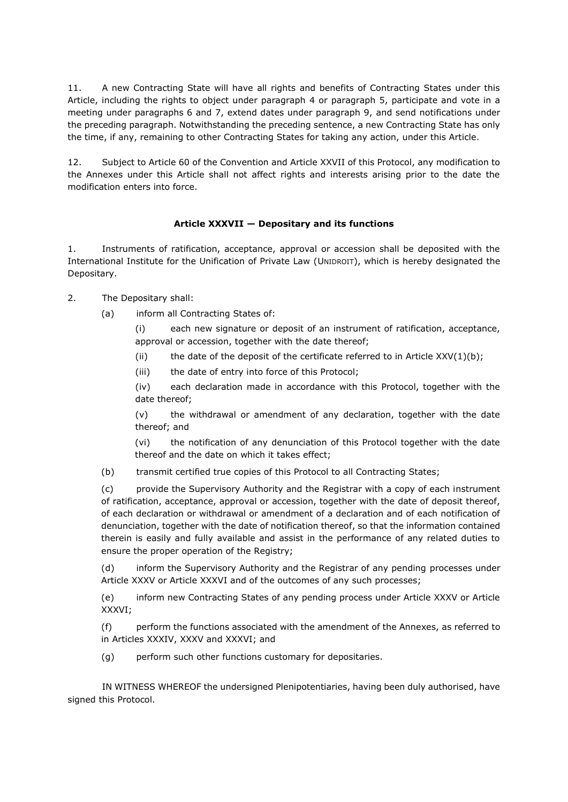11. A new Contracting State will have all rights and benefits of Contracting States under this Article, including the rights to object under paragraph 4 or paragraph 5, participate and vote in a meeting under paragraphs 6 and 7, extend dates under paragraph 9, and send notifications under the preceding paragraph. Notwithstanding the preceding sentence, a new Contracting State has only the time, if any, remaining to other Contracting States for taking any action, under this Article.

12. Subject to Article 60 of the Convention and Article XXVII of this Protocol, any modification to the Annexes under this Article shall not affect rights and interests arising prior to the date the modification enters into force.

# **Article XXXVII — Depositary and its functions**

1. Instruments of ratification, acceptance, approval or accession shall be deposited with the International Institute for the Unification of Private Law (UNIDROIT), which is hereby designated the Depositary.

- 2. The Depositary shall:
	- (a) inform all Contracting States of:

(i) each new signature or deposit of an instrument of ratification, acceptance, approval or accession, together with the date thereof;

(ii) the date of the deposit of the certificate referred to in Article  $XXV(1)(b)$ ;

(iii) the date of entry into force of this Protocol;

(iv) each declaration made in accordance with this Protocol, together with the date thereof;

(v) the withdrawal or amendment of any declaration, together with the date thereof; and

(vi) the notification of any denunciation of this Protocol together with the date thereof and the date on which it takes effect;

(b) transmit certified true copies of this Protocol to all Contracting States;

(c) provide the Supervisory Authority and the Registrar with a copy of each instrument of ratification, acceptance, approval or accession, together with the date of deposit thereof, of each declaration or withdrawal or amendment of a declaration and of each notification of denunciation, together with the date of notification thereof, so that the information contained therein is easily and fully available and assist in the performance of any related duties to ensure the proper operation of the Registry;

(d) inform the Supervisory Authority and the Registrar of any pending processes under Article XXXV or Article XXXVI and of the outcomes of any such processes;

(e) inform new Contracting States of any pending process under Article XXXV or Article XXXVI;

(f) perform the functions associated with the amendment of the Annexes, as referred to in Articles XXXIV, XXXV and XXXVI; and

(g) perform such other functions customary for depositaries.

IN WITNESS WHEREOF the undersigned Plenipotentiaries, having been duly authorised, have signed this Protocol.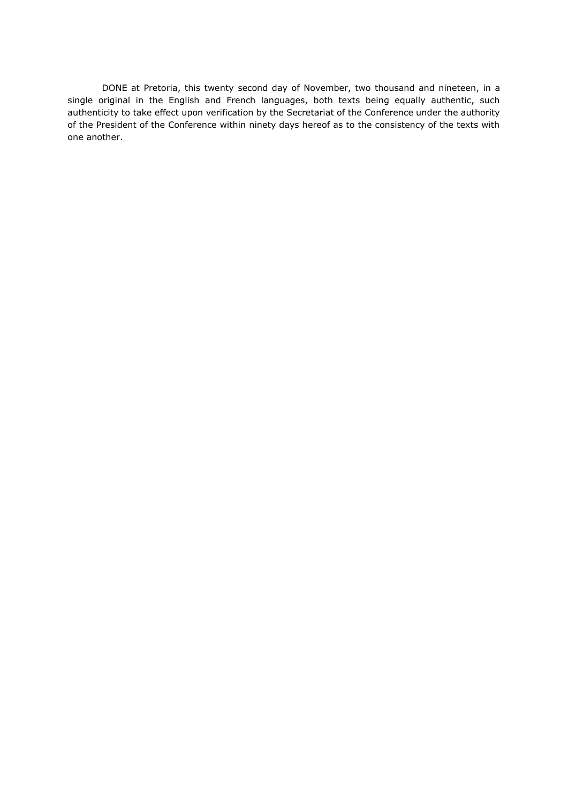DONE at Pretoria, this twenty second day of November, two thousand and nineteen, in a single original in the English and French languages, both texts being equally authentic, such authenticity to take effect upon verification by the Secretariat of the Conference under the authority of the President of the Conference within ninety days hereof as to the consistency of the texts with one another.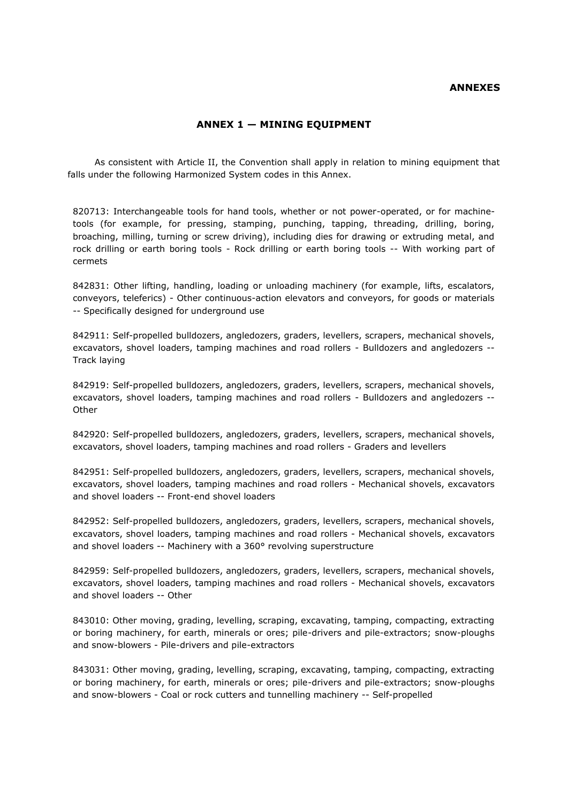#### **ANNEXES**

### **ANNEX 1 — MINING EQUIPMENT**

As consistent with Article II, the Convention shall apply in relation to mining equipment that falls under the following Harmonized System codes in this Annex.

820713: Interchangeable tools for hand tools, whether or not power-operated, or for machinetools (for example, for pressing, stamping, punching, tapping, threading, drilling, boring, broaching, milling, turning or screw driving), including dies for drawing or extruding metal, and rock drilling or earth boring tools - Rock drilling or earth boring tools -- With working part of cermets

842831: Other lifting, handling, loading or unloading machinery (for example, lifts, escalators, conveyors, teleferics) - Other continuous-action elevators and conveyors, for goods or materials -- Specifically designed for underground use

842911: Self-propelled bulldozers, angledozers, graders, levellers, scrapers, mechanical shovels, excavators, shovel loaders, tamping machines and road rollers - Bulldozers and angledozers --Track laying

842919: Self-propelled bulldozers, angledozers, graders, levellers, scrapers, mechanical shovels, excavators, shovel loaders, tamping machines and road rollers - Bulldozers and angledozers -- **Other** 

842920: Self-propelled bulldozers, angledozers, graders, levellers, scrapers, mechanical shovels, excavators, shovel loaders, tamping machines and road rollers - Graders and levellers

842951: Self-propelled bulldozers, angledozers, graders, levellers, scrapers, mechanical shovels, excavators, shovel loaders, tamping machines and road rollers - Mechanical shovels, excavators and shovel loaders -- Front-end shovel loaders

842952: Self-propelled bulldozers, angledozers, graders, levellers, scrapers, mechanical shovels, excavators, shovel loaders, tamping machines and road rollers - Mechanical shovels, excavators and shovel loaders -- Machinery with a 360° revolving superstructure

842959: Self-propelled bulldozers, angledozers, graders, levellers, scrapers, mechanical shovels, excavators, shovel loaders, tamping machines and road rollers - Mechanical shovels, excavators and shovel loaders -- Other

843010: Other moving, grading, levelling, scraping, excavating, tamping, compacting, extracting or boring machinery, for earth, minerals or ores; pile-drivers and pile-extractors; snow-ploughs and snow-blowers - Pile-drivers and pile-extractors

843031: Other moving, grading, levelling, scraping, excavating, tamping, compacting, extracting or boring machinery, for earth, minerals or ores; pile-drivers and pile-extractors; snow-ploughs and snow-blowers - Coal or rock cutters and tunnelling machinery -- Self-propelled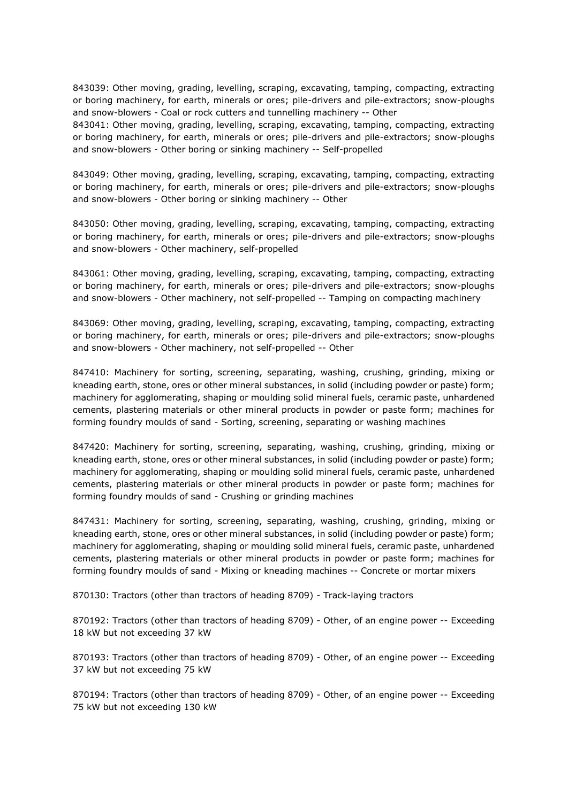843039: Other moving, grading, levelling, scraping, excavating, tamping, compacting, extracting or boring machinery, for earth, minerals or ores; pile-drivers and pile-extractors; snow-ploughs and snow-blowers - Coal or rock cutters and tunnelling machinery -- Other

843041: Other moving, grading, levelling, scraping, excavating, tamping, compacting, extracting or boring machinery, for earth, minerals or ores; pile-drivers and pile-extractors; snow-ploughs and snow-blowers - Other boring or sinking machinery -- Self-propelled

843049: Other moving, grading, levelling, scraping, excavating, tamping, compacting, extracting or boring machinery, for earth, minerals or ores; pile-drivers and pile-extractors; snow-ploughs and snow-blowers - Other boring or sinking machinery -- Other

843050: Other moving, grading, levelling, scraping, excavating, tamping, compacting, extracting or boring machinery, for earth, minerals or ores; pile-drivers and pile-extractors; snow-ploughs and snow-blowers - Other machinery, self-propelled

843061: Other moving, grading, levelling, scraping, excavating, tamping, compacting, extracting or boring machinery, for earth, minerals or ores; pile-drivers and pile-extractors; snow-ploughs and snow-blowers - Other machinery, not self-propelled -- Tamping on compacting machinery

843069: Other moving, grading, levelling, scraping, excavating, tamping, compacting, extracting or boring machinery, for earth, minerals or ores; pile-drivers and pile-extractors; snow-ploughs and snow-blowers - Other machinery, not self-propelled -- Other

847410: Machinery for sorting, screening, separating, washing, crushing, grinding, mixing or kneading earth, stone, ores or other mineral substances, in solid (including powder or paste) form; machinery for agglomerating, shaping or moulding solid mineral fuels, ceramic paste, unhardened cements, plastering materials or other mineral products in powder or paste form; machines for forming foundry moulds of sand - Sorting, screening, separating or washing machines

847420: Machinery for sorting, screening, separating, washing, crushing, grinding, mixing or kneading earth, stone, ores or other mineral substances, in solid (including powder or paste) form; machinery for agglomerating, shaping or moulding solid mineral fuels, ceramic paste, unhardened cements, plastering materials or other mineral products in powder or paste form; machines for forming foundry moulds of sand - Crushing or grinding machines

847431: Machinery for sorting, screening, separating, washing, crushing, grinding, mixing or kneading earth, stone, ores or other mineral substances, in solid (including powder or paste) form; machinery for agglomerating, shaping or moulding solid mineral fuels, ceramic paste, unhardened cements, plastering materials or other mineral products in powder or paste form; machines for forming foundry moulds of sand - Mixing or kneading machines -- Concrete or mortar mixers

870130: Tractors (other than tractors of heading 8709) - Track-laying tractors

870192: Tractors (other than tractors of heading 8709) - Other, of an engine power -- Exceeding 18 kW but not exceeding 37 kW

870193: Tractors (other than tractors of heading 8709) - Other, of an engine power -- Exceeding 37 kW but not exceeding 75 kW

870194: Tractors (other than tractors of heading 8709) - Other, of an engine power -- Exceeding 75 kW but not exceeding 130 kW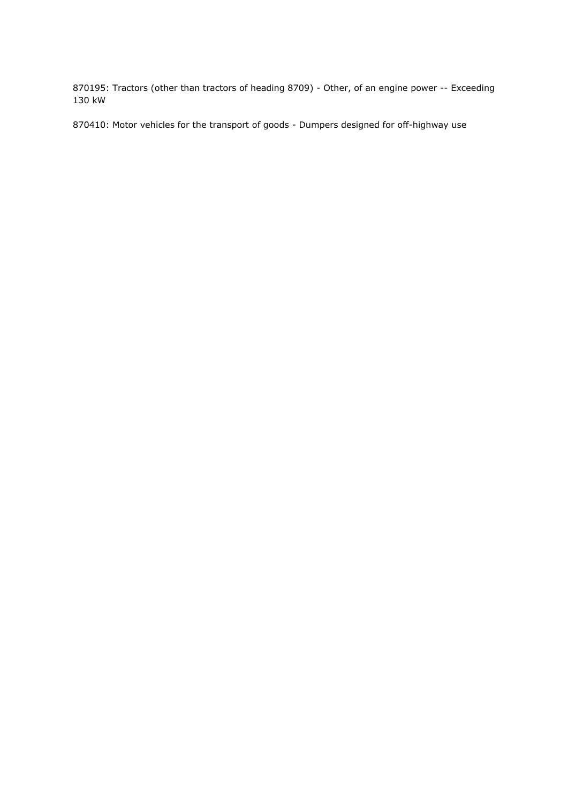870195: Tractors (other than tractors of heading 8709) - Other, of an engine power -- Exceeding 130 kW

870410: Motor vehicles for the transport of goods - Dumpers designed for off-highway use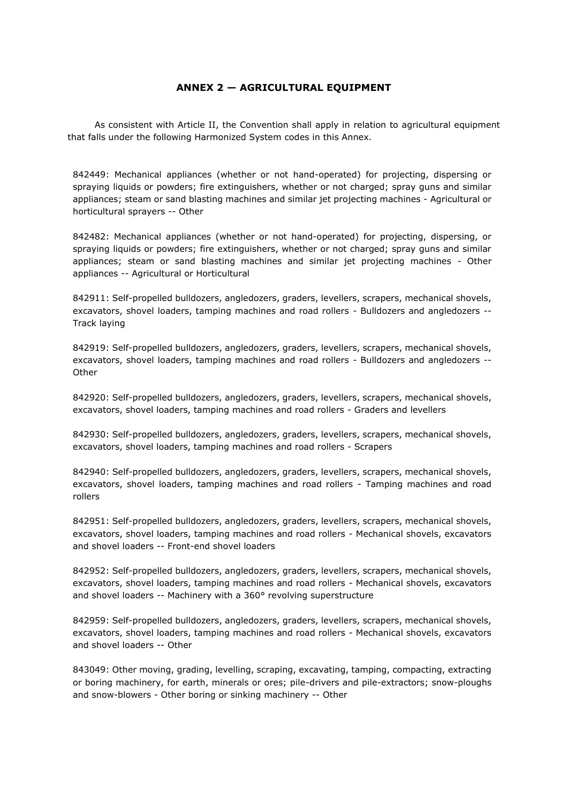#### **ANNEX 2 — AGRICULTURAL EQUIPMENT**

As consistent with Article II, the Convention shall apply in relation to agricultural equipment that falls under the following Harmonized System codes in this Annex.

842449: Mechanical appliances (whether or not hand-operated) for projecting, dispersing or spraying liquids or powders; fire extinguishers, whether or not charged; spray guns and similar appliances; steam or sand blasting machines and similar jet projecting machines - Agricultural or horticultural sprayers -- Other

842482: Mechanical appliances (whether or not hand-operated) for projecting, dispersing, or spraying liquids or powders; fire extinguishers, whether or not charged; spray guns and similar appliances; steam or sand blasting machines and similar jet projecting machines - Other appliances -- Agricultural or Horticultural

842911: Self-propelled bulldozers, angledozers, graders, levellers, scrapers, mechanical shovels, excavators, shovel loaders, tamping machines and road rollers - Bulldozers and angledozers --Track laying

842919: Self-propelled bulldozers, angledozers, graders, levellers, scrapers, mechanical shovels, excavators, shovel loaders, tamping machines and road rollers - Bulldozers and angledozers --**Other** 

842920: Self-propelled bulldozers, angledozers, graders, levellers, scrapers, mechanical shovels, excavators, shovel loaders, tamping machines and road rollers - Graders and levellers

842930: Self-propelled bulldozers, angledozers, graders, levellers, scrapers, mechanical shovels, excavators, shovel loaders, tamping machines and road rollers - Scrapers

842940: Self-propelled bulldozers, angledozers, graders, levellers, scrapers, mechanical shovels, excavators, shovel loaders, tamping machines and road rollers - Tamping machines and road rollers

842951: Self-propelled bulldozers, angledozers, graders, levellers, scrapers, mechanical shovels, excavators, shovel loaders, tamping machines and road rollers - Mechanical shovels, excavators and shovel loaders -- Front-end shovel loaders

842952: Self-propelled bulldozers, angledozers, graders, levellers, scrapers, mechanical shovels, excavators, shovel loaders, tamping machines and road rollers - Mechanical shovels, excavators and shovel loaders -- Machinery with a 360° revolving superstructure

842959: Self-propelled bulldozers, angledozers, graders, levellers, scrapers, mechanical shovels, excavators, shovel loaders, tamping machines and road rollers - Mechanical shovels, excavators and shovel loaders -- Other

843049: Other moving, grading, levelling, scraping, excavating, tamping, compacting, extracting or boring machinery, for earth, minerals or ores; pile-drivers and pile-extractors; snow-ploughs and snow-blowers - Other boring or sinking machinery -- Other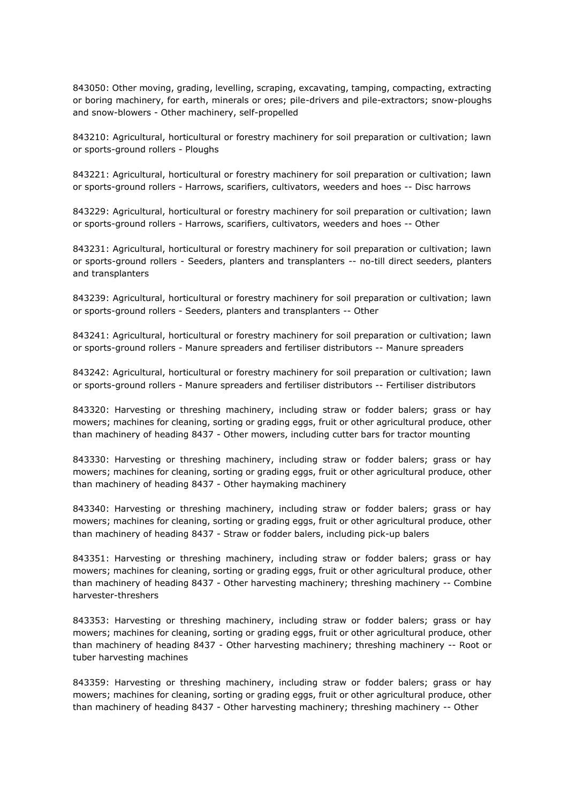843050: Other moving, grading, levelling, scraping, excavating, tamping, compacting, extracting or boring machinery, for earth, minerals or ores; pile-drivers and pile-extractors; snow-ploughs and snow-blowers - Other machinery, self-propelled

843210: Agricultural, horticultural or forestry machinery for soil preparation or cultivation; lawn or sports-ground rollers - Ploughs

843221: Agricultural, horticultural or forestry machinery for soil preparation or cultivation; lawn or sports-ground rollers - Harrows, scarifiers, cultivators, weeders and hoes -- Disc harrows

843229: Agricultural, horticultural or forestry machinery for soil preparation or cultivation; lawn or sports-ground rollers - Harrows, scarifiers, cultivators, weeders and hoes -- Other

843231: Agricultural, horticultural or forestry machinery for soil preparation or cultivation; lawn or sports-ground rollers - Seeders, planters and transplanters -- no-till direct seeders, planters and transplanters

843239: Agricultural, horticultural or forestry machinery for soil preparation or cultivation; lawn or sports-ground rollers - Seeders, planters and transplanters -- Other

843241: Agricultural, horticultural or forestry machinery for soil preparation or cultivation; lawn or sports-ground rollers - Manure spreaders and fertiliser distributors -- Manure spreaders

843242: Agricultural, horticultural or forestry machinery for soil preparation or cultivation; lawn or sports-ground rollers - Manure spreaders and fertiliser distributors -- Fertiliser distributors

843320: Harvesting or threshing machinery, including straw or fodder balers; grass or hay mowers; machines for cleaning, sorting or grading eggs, fruit or other agricultural produce, other than machinery of heading 8437 - Other mowers, including cutter bars for tractor mounting

843330: Harvesting or threshing machinery, including straw or fodder balers; grass or hay mowers; machines for cleaning, sorting or grading eggs, fruit or other agricultural produce, other than machinery of heading 8437 - Other haymaking machinery

843340: Harvesting or threshing machinery, including straw or fodder balers; grass or hay mowers; machines for cleaning, sorting or grading eggs, fruit or other agricultural produce, other than machinery of heading 8437 - Straw or fodder balers, including pick-up balers

843351: Harvesting or threshing machinery, including straw or fodder balers; grass or hay mowers; machines for cleaning, sorting or grading eggs, fruit or other agricultural produce, other than machinery of heading 8437 - Other harvesting machinery; threshing machinery -- Combine harvester-threshers

843353: Harvesting or threshing machinery, including straw or fodder balers; grass or hay mowers; machines for cleaning, sorting or grading eggs, fruit or other agricultural produce, other than machinery of heading 8437 - Other harvesting machinery; threshing machinery -- Root or tuber harvesting machines

843359: Harvesting or threshing machinery, including straw or fodder balers; grass or hay mowers; machines for cleaning, sorting or grading eggs, fruit or other agricultural produce, other than machinery of heading 8437 - Other harvesting machinery; threshing machinery -- Other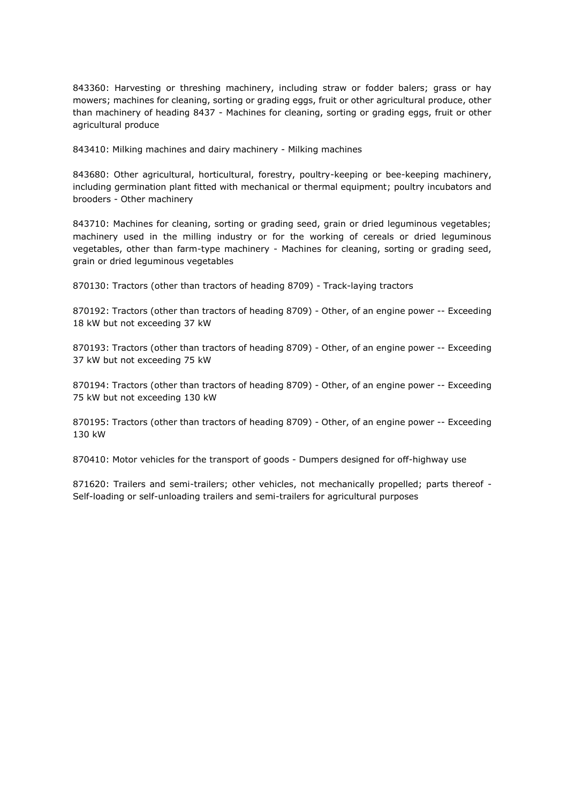843360: Harvesting or threshing machinery, including straw or fodder balers; grass or hay mowers; machines for cleaning, sorting or grading eggs, fruit or other agricultural produce, other than machinery of heading 8437 - Machines for cleaning, sorting or grading eggs, fruit or other agricultural produce

843410: Milking machines and dairy machinery - Milking machines

843680: Other agricultural, horticultural, forestry, poultry-keeping or bee-keeping machinery, including germination plant fitted with mechanical or thermal equipment; poultry incubators and brooders - Other machinery

843710: Machines for cleaning, sorting or grading seed, grain or dried leguminous vegetables; machinery used in the milling industry or for the working of cereals or dried leguminous vegetables, other than farm-type machinery - Machines for cleaning, sorting or grading seed, grain or dried leguminous vegetables

870130: Tractors (other than tractors of heading 8709) - Track-laying tractors

870192: Tractors (other than tractors of heading 8709) - Other, of an engine power -- Exceeding 18 kW but not exceeding 37 kW

870193: Tractors (other than tractors of heading 8709) - Other, of an engine power -- Exceeding 37 kW but not exceeding 75 kW

870194: Tractors (other than tractors of heading 8709) - Other, of an engine power -- Exceeding 75 kW but not exceeding 130 kW

870195: Tractors (other than tractors of heading 8709) - Other, of an engine power -- Exceeding 130 kW

870410: Motor vehicles for the transport of goods - Dumpers designed for off-highway use

871620: Trailers and semi-trailers; other vehicles, not mechanically propelled; parts thereof - Self-loading or self-unloading trailers and semi-trailers for agricultural purposes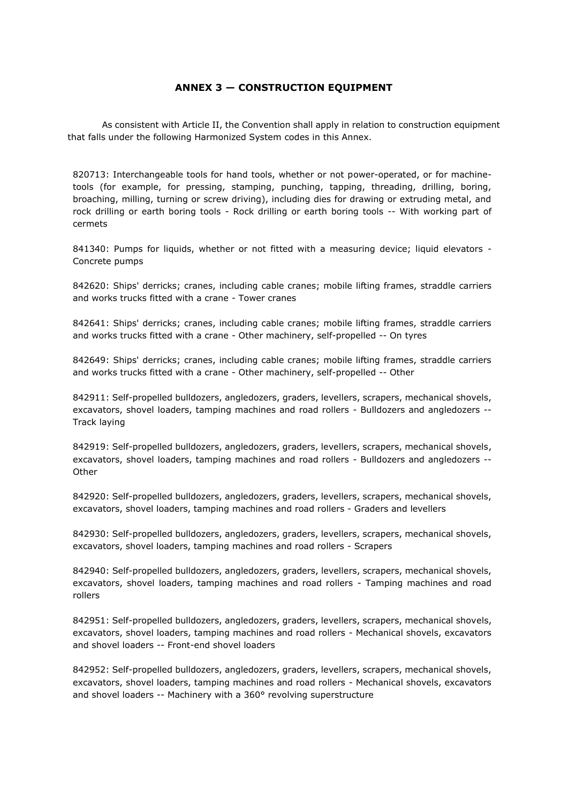### **ANNEX 3 — CONSTRUCTION EQUIPMENT**

As consistent with Article II, the Convention shall apply in relation to construction equipment that falls under the following Harmonized System codes in this Annex.

820713: Interchangeable tools for hand tools, whether or not power-operated, or for machinetools (for example, for pressing, stamping, punching, tapping, threading, drilling, boring, broaching, milling, turning or screw driving), including dies for drawing or extruding metal, and rock drilling or earth boring tools - Rock drilling or earth boring tools -- With working part of cermets

841340: Pumps for liquids, whether or not fitted with a measuring device; liquid elevators - Concrete pumps

842620: Ships' derricks; cranes, including cable cranes; mobile lifting frames, straddle carriers and works trucks fitted with a crane - Tower cranes

842641: Ships' derricks; cranes, including cable cranes; mobile lifting frames, straddle carriers and works trucks fitted with a crane - Other machinery, self-propelled -- On tyres

842649: Ships' derricks; cranes, including cable cranes; mobile lifting frames, straddle carriers and works trucks fitted with a crane - Other machinery, self-propelled -- Other

842911: Self-propelled bulldozers, angledozers, graders, levellers, scrapers, mechanical shovels, excavators, shovel loaders, tamping machines and road rollers - Bulldozers and angledozers --Track laying

842919: Self-propelled bulldozers, angledozers, graders, levellers, scrapers, mechanical shovels, excavators, shovel loaders, tamping machines and road rollers - Bulldozers and angledozers --**Other** 

842920: Self-propelled bulldozers, angledozers, graders, levellers, scrapers, mechanical shovels, excavators, shovel loaders, tamping machines and road rollers - Graders and levellers

842930: Self-propelled bulldozers, angledozers, graders, levellers, scrapers, mechanical shovels, excavators, shovel loaders, tamping machines and road rollers - Scrapers

842940: Self-propelled bulldozers, angledozers, graders, levellers, scrapers, mechanical shovels, excavators, shovel loaders, tamping machines and road rollers - Tamping machines and road rollers

842951: Self-propelled bulldozers, angledozers, graders, levellers, scrapers, mechanical shovels, excavators, shovel loaders, tamping machines and road rollers - Mechanical shovels, excavators and shovel loaders -- Front-end shovel loaders

842952: Self-propelled bulldozers, angledozers, graders, levellers, scrapers, mechanical shovels, excavators, shovel loaders, tamping machines and road rollers - Mechanical shovels, excavators and shovel loaders -- Machinery with a 360° revolving superstructure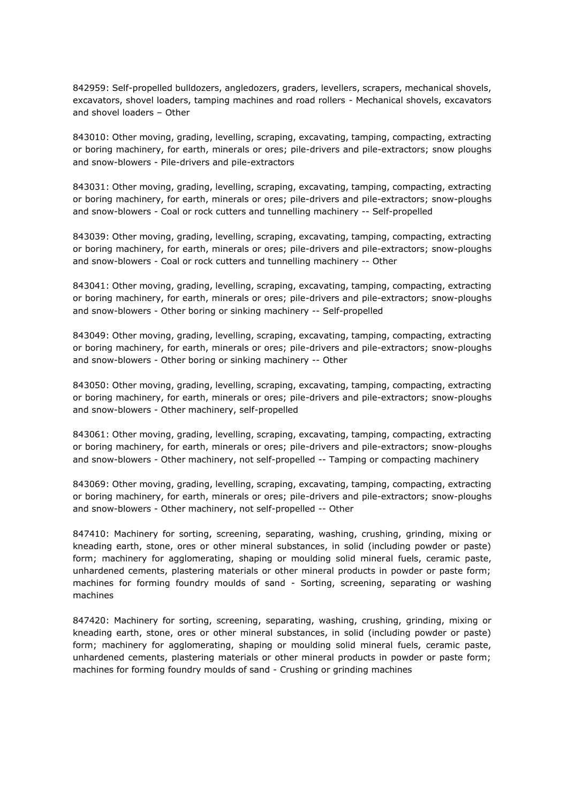842959: Self-propelled bulldozers, angledozers, graders, levellers, scrapers, mechanical shovels, excavators, shovel loaders, tamping machines and road rollers - Mechanical shovels, excavators and shovel loaders – Other

843010: Other moving, grading, levelling, scraping, excavating, tamping, compacting, extracting or boring machinery, for earth, minerals or ores; pile-drivers and pile-extractors; snow ploughs and snow-blowers - Pile-drivers and pile-extractors

843031: Other moving, grading, levelling, scraping, excavating, tamping, compacting, extracting or boring machinery, for earth, minerals or ores; pile-drivers and pile-extractors; snow-ploughs and snow-blowers - Coal or rock cutters and tunnelling machinery -- Self-propelled

843039: Other moving, grading, levelling, scraping, excavating, tamping, compacting, extracting or boring machinery, for earth, minerals or ores; pile-drivers and pile-extractors; snow-ploughs and snow-blowers - Coal or rock cutters and tunnelling machinery -- Other

843041: Other moving, grading, levelling, scraping, excavating, tamping, compacting, extracting or boring machinery, for earth, minerals or ores; pile-drivers and pile-extractors; snow-ploughs and snow-blowers - Other boring or sinking machinery -- Self-propelled

843049: Other moving, grading, levelling, scraping, excavating, tamping, compacting, extracting or boring machinery, for earth, minerals or ores; pile-drivers and pile-extractors; snow-ploughs and snow-blowers - Other boring or sinking machinery -- Other

843050: Other moving, grading, levelling, scraping, excavating, tamping, compacting, extracting or boring machinery, for earth, minerals or ores; pile-drivers and pile-extractors; snow-ploughs and snow-blowers - Other machinery, self-propelled

843061: Other moving, grading, levelling, scraping, excavating, tamping, compacting, extracting or boring machinery, for earth, minerals or ores; pile-drivers and pile-extractors; snow-ploughs and snow-blowers - Other machinery, not self-propelled -- Tamping or compacting machinery

843069: Other moving, grading, levelling, scraping, excavating, tamping, compacting, extracting or boring machinery, for earth, minerals or ores; pile-drivers and pile-extractors; snow-ploughs and snow-blowers - Other machinery, not self-propelled -- Other

847410: Machinery for sorting, screening, separating, washing, crushing, grinding, mixing or kneading earth, stone, ores or other mineral substances, in solid (including powder or paste) form; machinery for agglomerating, shaping or moulding solid mineral fuels, ceramic paste, unhardened cements, plastering materials or other mineral products in powder or paste form; machines for forming foundry moulds of sand - Sorting, screening, separating or washing machines

847420: Machinery for sorting, screening, separating, washing, crushing, grinding, mixing or kneading earth, stone, ores or other mineral substances, in solid (including powder or paste) form; machinery for agglomerating, shaping or moulding solid mineral fuels, ceramic paste, unhardened cements, plastering materials or other mineral products in powder or paste form; machines for forming foundry moulds of sand - Crushing or grinding machines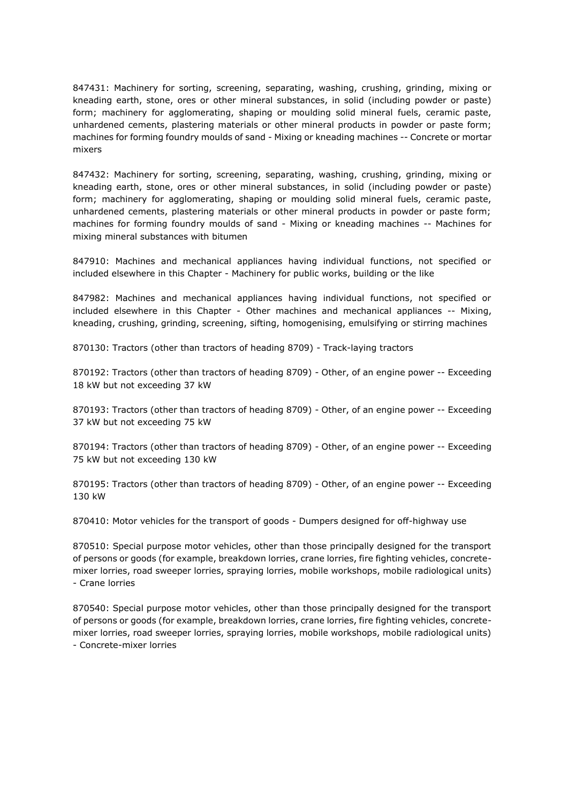847431: Machinery for sorting, screening, separating, washing, crushing, grinding, mixing or kneading earth, stone, ores or other mineral substances, in solid (including powder or paste) form; machinery for agglomerating, shaping or moulding solid mineral fuels, ceramic paste, unhardened cements, plastering materials or other mineral products in powder or paste form; machines for forming foundry moulds of sand - Mixing or kneading machines -- Concrete or mortar mixers

847432: Machinery for sorting, screening, separating, washing, crushing, grinding, mixing or kneading earth, stone, ores or other mineral substances, in solid (including powder or paste) form; machinery for agglomerating, shaping or moulding solid mineral fuels, ceramic paste, unhardened cements, plastering materials or other mineral products in powder or paste form; machines for forming foundry moulds of sand - Mixing or kneading machines -- Machines for mixing mineral substances with bitumen

847910: Machines and mechanical appliances having individual functions, not specified or included elsewhere in this Chapter - Machinery for public works, building or the like

847982: Machines and mechanical appliances having individual functions, not specified or included elsewhere in this Chapter - Other machines and mechanical appliances -- Mixing, kneading, crushing, grinding, screening, sifting, homogenising, emulsifying or stirring machines

870130: Tractors (other than tractors of heading 8709) - Track-laying tractors

870192: Tractors (other than tractors of heading 8709) - Other, of an engine power -- Exceeding 18 kW but not exceeding 37 kW

870193: Tractors (other than tractors of heading 8709) - Other, of an engine power -- Exceeding 37 kW but not exceeding 75 kW

870194: Tractors (other than tractors of heading 8709) - Other, of an engine power -- Exceeding 75 kW but not exceeding 130 kW

870195: Tractors (other than tractors of heading 8709) - Other, of an engine power -- Exceeding 130 kW

870410: Motor vehicles for the transport of goods - Dumpers designed for off-highway use

870510: Special purpose motor vehicles, other than those principally designed for the transport of persons or goods (for example, breakdown lorries, crane lorries, fire fighting vehicles, concretemixer lorries, road sweeper lorries, spraying lorries, mobile workshops, mobile radiological units) - Crane lorries

870540: Special purpose motor vehicles, other than those principally designed for the transport of persons or goods (for example, breakdown lorries, crane lorries, fire fighting vehicles, concretemixer lorries, road sweeper lorries, spraying lorries, mobile workshops, mobile radiological units) - Concrete-mixer lorries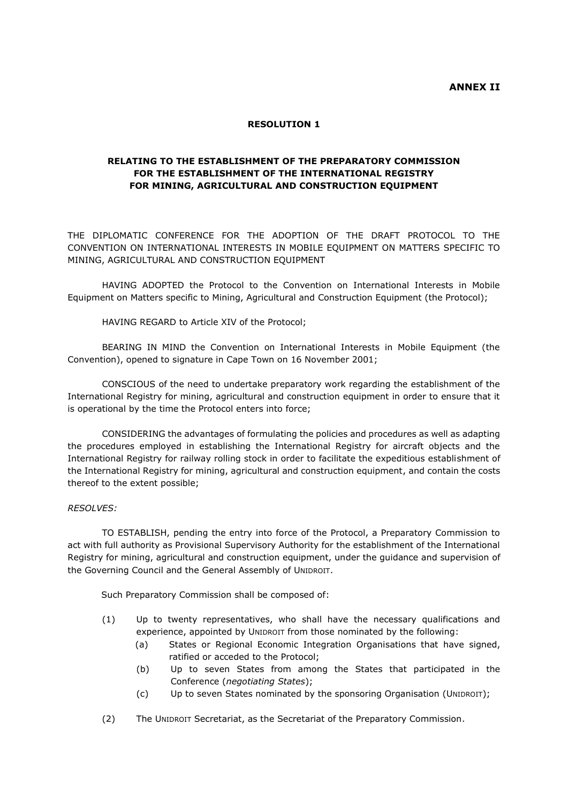#### **ANNEX II**

#### **RESOLUTION 1**

# **RELATING TO THE ESTABLISHMENT OF THE PREPARATORY COMMISSION FOR THE ESTABLISHMENT OF THE INTERNATIONAL REGISTRY FOR MINING, AGRICULTURAL AND CONSTRUCTION EQUIPMENT**

THE DIPLOMATIC CONFERENCE FOR THE ADOPTION OF THE DRAFT PROTOCOL TO THE CONVENTION ON INTERNATIONAL INTERESTS IN MOBILE EQUIPMENT ON MATTERS SPECIFIC TO MINING, AGRICULTURAL AND CONSTRUCTION EQUIPMENT

HAVING ADOPTED the Protocol to the Convention on International Interests in Mobile Equipment on Matters specific to Mining, Agricultural and Construction Equipment (the Protocol);

HAVING REGARD to Article XIV of the Protocol;

BEARING IN MIND the Convention on International Interests in Mobile Equipment (the Convention), opened to signature in Cape Town on 16 November 2001;

CONSCIOUS of the need to undertake preparatory work regarding the establishment of the International Registry for mining, agricultural and construction equipment in order to ensure that it is operational by the time the Protocol enters into force;

CONSIDERING the advantages of formulating the policies and procedures as well as adapting the procedures employed in establishing the International Registry for aircraft objects and the International Registry for railway rolling stock in order to facilitate the expeditious establishment of the International Registry for mining, agricultural and construction equipment, and contain the costs thereof to the extent possible;

#### *RESOLVES:*

TO ESTABLISH, pending the entry into force of the Protocol, a Preparatory Commission to act with full authority as Provisional Supervisory Authority for the establishment of the International Registry for mining, agricultural and construction equipment, under the guidance and supervision of the Governing Council and the General Assembly of UNIDROIT.

Such Preparatory Commission shall be composed of:

- (1) Up to twenty representatives, who shall have the necessary qualifications and experience, appointed by UNIDROIT from those nominated by the following:
	- (a) States or Regional Economic Integration Organisations that have signed, ratified or acceded to the Protocol;
	- (b) Up to seven States from among the States that participated in the Conference (*negotiating States*);
	- (c) Up to seven States nominated by the sponsoring Organisation (UNIDROIT);
- (2) The UNIDROIT Secretariat, as the Secretariat of the Preparatory Commission.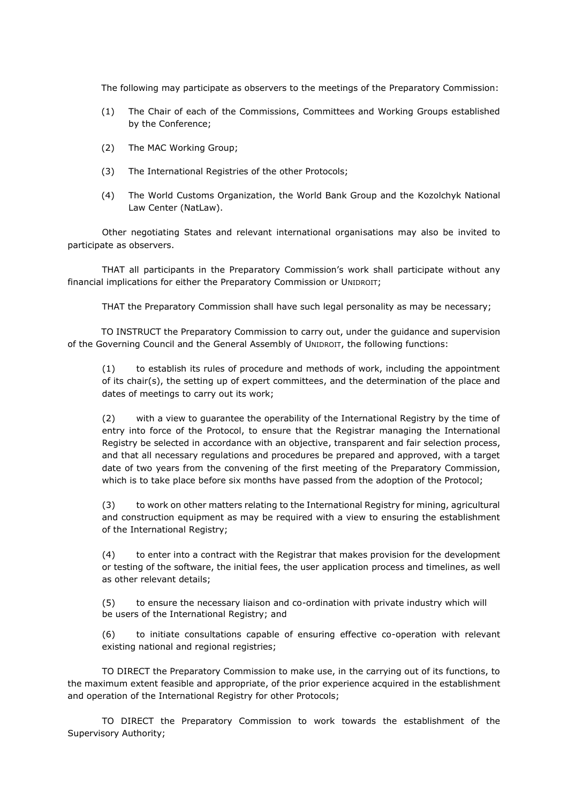The following may participate as observers to the meetings of the Preparatory Commission:

- (1) The Chair of each of the Commissions, Committees and Working Groups established by the Conference;
- (2) The MAC Working Group;
- (3) The International Registries of the other Protocols;
- (4) The World Customs Organization, the World Bank Group and the Kozolchyk National Law Center (NatLaw).

Other negotiating States and relevant international organisations may also be invited to participate as observers.

THAT all participants in the Preparatory Commission's work shall participate without any financial implications for either the Preparatory Commission or UNIDROIT;

THAT the Preparatory Commission shall have such legal personality as may be necessary;

TO INSTRUCT the Preparatory Commission to carry out, under the guidance and supervision of the Governing Council and the General Assembly of UNIDROIT, the following functions:

(1) to establish its rules of procedure and methods of work, including the appointment of its chair(s), the setting up of expert committees, and the determination of the place and dates of meetings to carry out its work;

(2) with a view to guarantee the operability of the International Registry by the time of entry into force of the Protocol, to ensure that the Registrar managing the International Registry be selected in accordance with an objective, transparent and fair selection process, and that all necessary regulations and procedures be prepared and approved, with a target date of two years from the convening of the first meeting of the Preparatory Commission, which is to take place before six months have passed from the adoption of the Protocol;

(3) to work on other matters relating to the International Registry for mining, agricultural and construction equipment as may be required with a view to ensuring the establishment of the International Registry;

(4) to enter into a contract with the Registrar that makes provision for the development or testing of the software, the initial fees, the user application process and timelines, as well as other relevant details;

(5) to ensure the necessary liaison and co-ordination with private industry which will be users of the International Registry; and

(6) to initiate consultations capable of ensuring effective co-operation with relevant existing national and regional registries;

TO DIRECT the Preparatory Commission to make use, in the carrying out of its functions, to the maximum extent feasible and appropriate, of the prior experience acquired in the establishment and operation of the International Registry for other Protocols;

TO DIRECT the Preparatory Commission to work towards the establishment of the Supervisory Authority;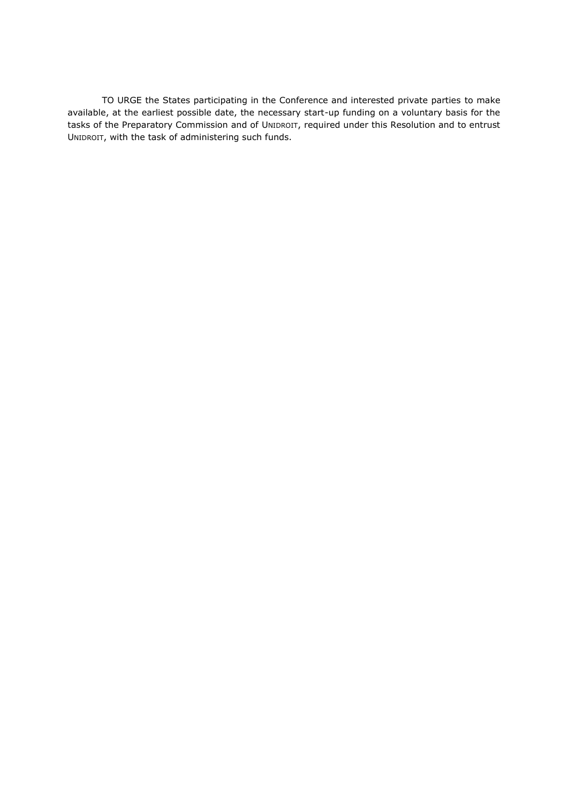TO URGE the States participating in the Conference and interested private parties to make available, at the earliest possible date, the necessary start-up funding on a voluntary basis for the tasks of the Preparatory Commission and of UNIDROIT, required under this Resolution and to entrust UNIDROIT, with the task of administering such funds.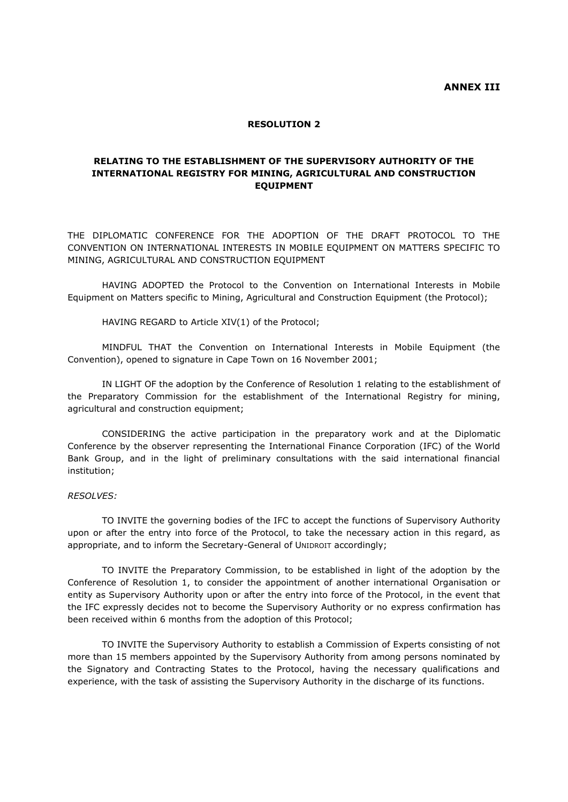#### **ANNEX III**

#### **RESOLUTION 2**

# **RELATING TO THE ESTABLISHMENT OF THE SUPERVISORY AUTHORITY OF THE INTERNATIONAL REGISTRY FOR MINING, AGRICULTURAL AND CONSTRUCTION EQUIPMENT**

THE DIPLOMATIC CONFERENCE FOR THE ADOPTION OF THE DRAFT PROTOCOL TO THE CONVENTION ON INTERNATIONAL INTERESTS IN MOBILE EQUIPMENT ON MATTERS SPECIFIC TO MINING, AGRICULTURAL AND CONSTRUCTION EQUIPMENT

HAVING ADOPTED the Protocol to the Convention on International Interests in Mobile Equipment on Matters specific to Mining, Agricultural and Construction Equipment (the Protocol);

HAVING REGARD to Article XIV(1) of the Protocol;

MINDFUL THAT the Convention on International Interests in Mobile Equipment (the Convention), opened to signature in Cape Town on 16 November 2001;

IN LIGHT OF the adoption by the Conference of Resolution 1 relating to the establishment of the Preparatory Commission for the establishment of the International Registry for mining, agricultural and construction equipment;

CONSIDERING the active participation in the preparatory work and at the Diplomatic Conference by the observer representing the International Finance Corporation (IFC) of the World Bank Group, and in the light of preliminary consultations with the said international financial institution;

# *RESOLVES:*

TO INVITE the governing bodies of the IFC to accept the functions of Supervisory Authority upon or after the entry into force of the Protocol, to take the necessary action in this regard, as appropriate, and to inform the Secretary-General of UNIDROIT accordingly;

TO INVITE the Preparatory Commission, to be established in light of the adoption by the Conference of Resolution 1, to consider the appointment of another international Organisation or entity as Supervisory Authority upon or after the entry into force of the Protocol, in the event that the IFC expressly decides not to become the Supervisory Authority or no express confirmation has been received within 6 months from the adoption of this Protocol;

TO INVITE the Supervisory Authority to establish a Commission of Experts consisting of not more than 15 members appointed by the Supervisory Authority from among persons nominated by the Signatory and Contracting States to the Protocol, having the necessary qualifications and experience, with the task of assisting the Supervisory Authority in the discharge of its functions.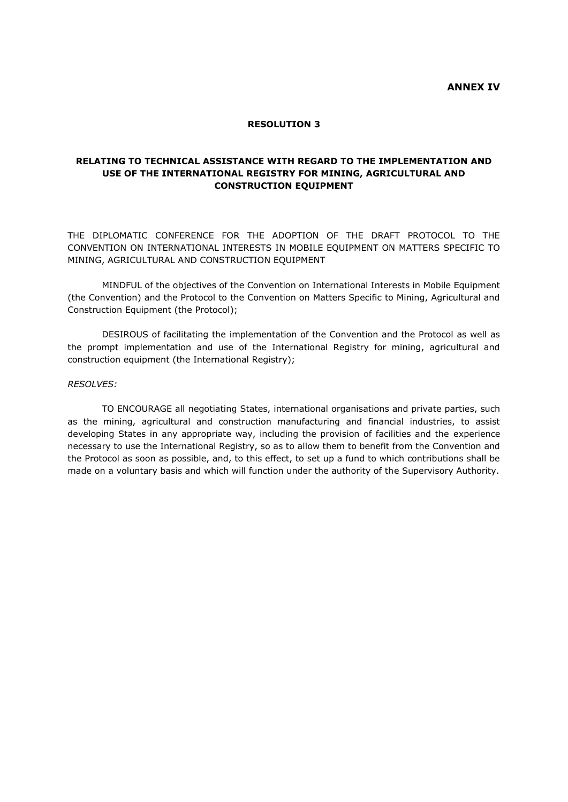#### **ANNEX IV**

#### **RESOLUTION 3**

# **RELATING TO TECHNICAL ASSISTANCE WITH REGARD TO THE IMPLEMENTATION AND USE OF THE INTERNATIONAL REGISTRY FOR MINING, AGRICULTURAL AND CONSTRUCTION EQUIPMENT**

THE DIPLOMATIC CONFERENCE FOR THE ADOPTION OF THE DRAFT PROTOCOL TO THE CONVENTION ON INTERNATIONAL INTERESTS IN MOBILE EQUIPMENT ON MATTERS SPECIFIC TO MINING, AGRICULTURAL AND CONSTRUCTION EQUIPMENT

MINDFUL of the objectives of the Convention on International Interests in Mobile Equipment (the Convention) and the Protocol to the Convention on Matters Specific to Mining, Agricultural and Construction Equipment (the Protocol);

DESIROUS of facilitating the implementation of the Convention and the Protocol as well as the prompt implementation and use of the International Registry for mining, agricultural and construction equipment (the International Registry);

#### *RESOLVES:*

TO ENCOURAGE all negotiating States, international organisations and private parties, such as the mining, agricultural and construction manufacturing and financial industries, to assist developing States in any appropriate way, including the provision of facilities and the experience necessary to use the International Registry, so as to allow them to benefit from the Convention and the Protocol as soon as possible, and, to this effect, to set up a fund to which contributions shall be made on a voluntary basis and which will function under the authority of the Supervisory Authority.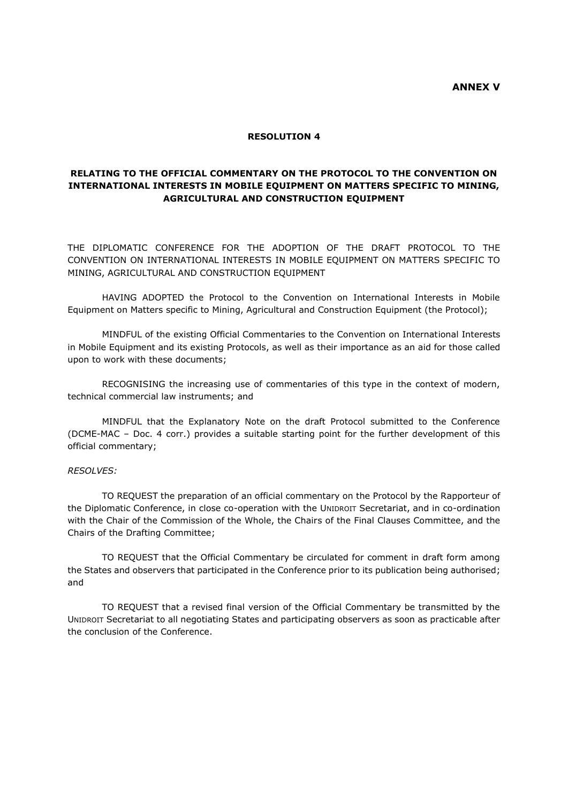#### **ANNEX V**

#### **RESOLUTION 4**

# **RELATING TO THE OFFICIAL COMMENTARY ON THE PROTOCOL TO THE CONVENTION ON INTERNATIONAL INTERESTS IN MOBILE EQUIPMENT ON MATTERS SPECIFIC TO MINING, AGRICULTURAL AND CONSTRUCTION EQUIPMENT**

THE DIPLOMATIC CONFERENCE FOR THE ADOPTION OF THE DRAFT PROTOCOL TO THE CONVENTION ON INTERNATIONAL INTERESTS IN MOBILE EQUIPMENT ON MATTERS SPECIFIC TO MINING, AGRICULTURAL AND CONSTRUCTION EQUIPMENT

HAVING ADOPTED the Protocol to the Convention on International Interests in Mobile Equipment on Matters specific to Mining, Agricultural and Construction Equipment (the Protocol);

MINDFUL of the existing Official Commentaries to the Convention on International Interests in Mobile Equipment and its existing Protocols, as well as their importance as an aid for those called upon to work with these documents;

RECOGNISING the increasing use of commentaries of this type in the context of modern, technical commercial law instruments; and

MINDFUL that the Explanatory Note on the draft Protocol submitted to the Conference (DCME-MAC – [Doc. 4 corr.\)](https://www.unidroit.org/english/documents/2019/study72k/dc/s-72k-dc-04-corr-e.pdf) provides a suitable starting point for the further development of this official commentary;

#### *RESOLVES:*

TO REQUEST the preparation of an official commentary on the Protocol by the Rapporteur of the Diplomatic Conference, in close co-operation with the UNIDROIT Secretariat, and in co-ordination with the Chair of the Commission of the Whole, the Chairs of the Final Clauses Committee, and the Chairs of the Drafting Committee;

TO REQUEST that the Official Commentary be circulated for comment in draft form among the States and observers that participated in the Conference prior to its publication being authorised; and

TO REQUEST that a revised final version of the Official Commentary be transmitted by the UNIDROIT Secretariat to all negotiating States and participating observers as soon as practicable after the conclusion of the Conference.